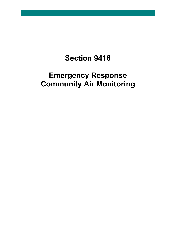## **Section 9418**

## **Emergency Response Community Air Monitoring**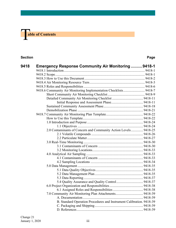# **The able of Contents**

## **Section Page**

| 9418 | <b>Emergency Response Community Air Monitoring  9418-1</b>           |  |
|------|----------------------------------------------------------------------|--|
|      |                                                                      |  |
|      |                                                                      |  |
|      |                                                                      |  |
|      |                                                                      |  |
|      |                                                                      |  |
|      | 9418.6 Community Air Monitoring Implementation Checklists 9418-7     |  |
|      |                                                                      |  |
|      |                                                                      |  |
|      |                                                                      |  |
|      |                                                                      |  |
|      |                                                                      |  |
|      |                                                                      |  |
|      |                                                                      |  |
|      |                                                                      |  |
|      |                                                                      |  |
|      | 2.0 Contaminants of Concern and Community Action Levels 9418-25      |  |
|      |                                                                      |  |
|      |                                                                      |  |
|      |                                                                      |  |
|      |                                                                      |  |
|      |                                                                      |  |
|      |                                                                      |  |
|      |                                                                      |  |
|      |                                                                      |  |
|      |                                                                      |  |
|      |                                                                      |  |
|      |                                                                      |  |
|      |                                                                      |  |
|      |                                                                      |  |
|      |                                                                      |  |
|      |                                                                      |  |
|      |                                                                      |  |
|      |                                                                      |  |
|      | B. Standard Operation Procedures and Instrument Calibration. 9418-39 |  |
|      |                                                                      |  |
|      |                                                                      |  |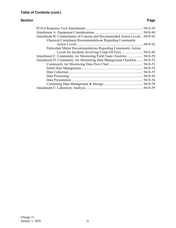## **Section Page**

| Attachment B: Contaminants of Concern and Recommended Action Levels 9418-42 |  |
|-----------------------------------------------------------------------------|--|
| <b>Chemical Constituent Recommendations Regarding Community</b>             |  |
|                                                                             |  |
| Particulate Matter Recommendations Regarding Community Action               |  |
|                                                                             |  |
| Attachment C: Community Air Monitoring Field Team Checklist 9418-50         |  |
| Attachment D: Community Air Monitoring Data Management Checklist 9418-52    |  |
|                                                                             |  |
|                                                                             |  |
|                                                                             |  |
|                                                                             |  |
|                                                                             |  |
|                                                                             |  |
|                                                                             |  |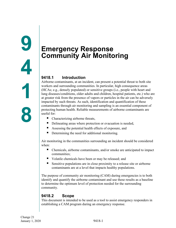## <span id="page-3-2"></span><span id="page-3-1"></span><span id="page-3-0"></span>**9418.1 Introduction**

Airborne contaminants, at an incident, can present a potential threat to both site workers and surrounding communities. In particular, high consequence areas (HCAs; e.g., densely populated) or sensitive groups (i.e., people with heart and lung diseases/conditions, older adults and children, hospital patients, etc.) who are at greater risk from the presence of vapors or particles in the air can be adversely impacted by such threats. As such, identification and quantification of these contaminants through air monitoring and sampling is an essential component of protecting human health. Reliable measurements of airborne contaminants are useful for:

- Characterizing airborne threats,
- Delineating areas where protection or evacuation is needed,
- Assessing the potential health effects of exposure, and
- Determining the need for additional monitoring.

Air monitoring in the communities surrounding an incident should be considered when:

- Chemicals, airborne contaminants, and/or smoke are anticipated to impact communities;
- Volatile chemicals have been or may be released; and
- Sensitive populations are in close proximity to a release site or airborne contaminants are at a level that impacts healthy populations.

The purpose of community air monitoring (CAM) during emergencies is to both identify and quantify the airborne contaminant and use these results as a baseline to determine the optimum level of protection needed for the surrounding community.

## <span id="page-3-3"></span>**9418.2 Scope**

This document is intended to be used as a tool to assist emergency responders in establishing a CAM program during an emergency response.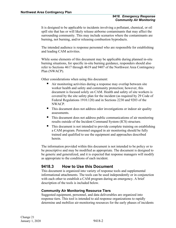It is designed to be applicable to incidents involving a pollutant, chemical, or oil spill site that has or will likely release airborne contaminants that may affect the surrounding community. This may include scenarios where the contaminants are burning, not burning, and/or releasing combustion byproducts.

The intended audience is response personnel who are responsible for establishing and leading CAM activities.

While some elements of this document may be applicable during planned in-situ burning situations, for specific in-situ burning guidance, responders should also refer to Sections 4617 through 4619 and 9407 of the Northwest Area Contingency Plan (NWACP).

Other considerations when using this document:

- Air monitoring activities during a response may overlap between site worker health and safety and community protection; however, this document is focused solely on CAM. Health and safety of site workers is covered by the site safety plan for the incident (as required by 29 Code of Federal Regulations 1910.120) and in Sections 2230 and 9203 of the NWACP.
- This document does not address odor investigations or indoor air quality assessments.
- This document does not address public communications of air monitoring results outside of the Incident Command System (ICS) structure.
- This document is not intended to provide complete training on establishing a CAM program. Personnel engaged in air monitoring should be fully trained and qualified to use the equipment and approaches described herein.

The information provided within this document is not intended to be policy or to be prescriptive and may be modified as appropriate. The document is designed to be generic and generalized, and it is expected that response managers will modify as appropriate to the conditions of each incident.

## <span id="page-4-0"></span>**9418.3 How to Use this Document**

This document is organized into variety of response tools and supplemental informational attachments. The tools can be used independently or in conjunction with each other to establish a CAM program during an emergency. A brief description of the tools is included below.

## **Community Air Monitoring Resource Tiers**

Suggested equipment, personnel, and data deliverables are organized into response tiers. This tool is intended to aid response organizations to rapidly determine and mobilize air-monitoring resources for the early phases of incidents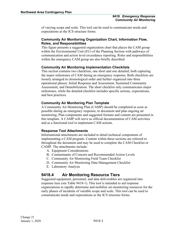of varying scope and scale. This tool can be used to communicate needs and expectations as the ICS structure forms.

## **Community Air Monitoring Organization Chart, Information Flow, Roles, and Responsibilities**

This figure presents a suggested organization chart that places the CAM group within the Environmental Unit (EU) of the Planning Section with pathways of communication and action level exceedance reporting. Roles and responsibilities within the emergency CAM group are also briefly described.

## **Community Air Monitoring Implementation Checklists**

This section contains two checklists, one short and one detailed, both capturing the major milestones of CAM during an emergency response. Both checklists are loosely arranged in chronological order and further organized into three operational phases: Initial Response and Assessment, Sustained Community Assessment, and Demobilization. The short checklist only communicates major milestones, while the detailed checklist includes specific actions, expectations, and best practices.

## **Community Air Monitoring Plan Template**

A Community Air Monitoring Plan (CAMP) should be completed as soon as possible during an emergency response, to document and plan ongoing air monitoring. Plan components and suggested formats and content are presented in this template. A CAMP will serve as official documentation of CAM activities and as a functional tool to implement CAM actions.

## **Response Tool Attachments**

Informational attachments are included to detail technical components of implementing a CAM program. Content within these sections are referred to throughout the document and may be used to complete the CAM Checklist or CAMP. The attachments include:

- A. Equipment Considerations
- B. Contaminants of Concern and Recommended Action Levels
- C. Community Air Monitoring Field Team Checklist
- D. Community Air Monitoring Data Management Checklist
- E. Laboratory Analysis

## <span id="page-5-0"></span>**9418.4 Air Monitoring Resource Tiers**

Suggested equipment, personnel, and data deliverables are organized into response tiers (see Table 9418-1). This tool is intended to aid response organizations to rapidly determine and mobilize air-monitoring resources for the early phases of incidents of variable scope and scale. This tool can be used to communicate needs and expectations as the ICS structure forms.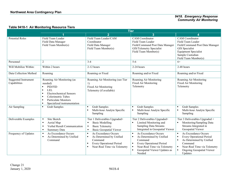## **Table 9418-1 Air Monitoring Resource Tiers**

|                                             | <b>Tier</b>                                                                                                                                                                                                                             |                                                                                                                                                                           |                                                                                                                                                                                                                              |                                                                                                                                                                             |  |  |
|---------------------------------------------|-----------------------------------------------------------------------------------------------------------------------------------------------------------------------------------------------------------------------------------------|---------------------------------------------------------------------------------------------------------------------------------------------------------------------------|------------------------------------------------------------------------------------------------------------------------------------------------------------------------------------------------------------------------------|-----------------------------------------------------------------------------------------------------------------------------------------------------------------------------|--|--|
|                                             |                                                                                                                                                                                                                                         | $\overline{2}$                                                                                                                                                            | 3                                                                                                                                                                                                                            |                                                                                                                                                                             |  |  |
| <b>Potential Roles</b>                      | Field Team Leader<br>Field Data Manager<br>Field Team Member(s)                                                                                                                                                                         | Field Team Leader/CAM<br>Coordinator<br>Field Data Manager<br>Field Team Member(s)                                                                                        | <b>CAM</b> Coordinator<br>Field Team Leader<br>Field/Command Post Data Manager<br>GIS/Telemetry Specialist<br>Field Team Member(s)                                                                                           | <b>CAM</b> Coordinator<br>Field Team Leader<br>Field/Command Post Data Manager<br>GIS Specialist<br><b>Equipment Specialist</b><br>Sample Custodian<br>Field Team Member(s) |  |  |
| Personnel                                   | $\overline{2}$                                                                                                                                                                                                                          | $3 - 4$                                                                                                                                                                   | $5-6$                                                                                                                                                                                                                        | $6+$                                                                                                                                                                        |  |  |
| Will Mobilize Within:                       | Within 2 hours                                                                                                                                                                                                                          | 2-12 hours                                                                                                                                                                | 2-24 hours                                                                                                                                                                                                                   | 2-48 hours                                                                                                                                                                  |  |  |
| Data Collection Method                      | Roaming                                                                                                                                                                                                                                 | Roaming or Fixed                                                                                                                                                          | Roaming and/or Fixed                                                                                                                                                                                                         | Roaming and/or Fixed                                                                                                                                                        |  |  |
| <b>Suggested Instrument</b><br>Capabilities | Roaming Air Monitoring (as<br>needed)<br>PID/FID<br><b>LEL</b><br>٠<br><b>Electrochemical Sensors</b><br>٠<br>Colorimetric Tubes<br>٠<br><b>Particulate Monitors</b><br>$\blacksquare$<br>Specialized instrumentation<br>$\blacksquare$ | Roaming Air Monitoring (see Tier<br>1)<br>Fixed Air Monitoring<br>Telemetry (if available)                                                                                | Roaming Air Monitoring<br><b>Fixed Air Monitoring</b><br>Telemetry                                                                                                                                                           | Roaming Air Monitoring<br><b>Fixed Air Monitoring</b><br>Telemetry                                                                                                          |  |  |
| Air Sampling                                | <b>Grab Samples</b><br>$\blacksquare$                                                                                                                                                                                                   | <b>Grab Samples</b><br>٠<br>Multi-hour Analyte Specific<br>٠<br>Sampling                                                                                                  | <b>Grab Samples</b><br>$\blacksquare$<br>Multi-hour Analyte Specific<br>٠<br>Sampling                                                                                                                                        | <b>Grab Samples</b><br>Multi-hour Analyte Specific<br>Sampling                                                                                                              |  |  |
| Deliverable Examples                        | Site Sketch<br>$\blacksquare$<br>Aerial Map<br>$\blacksquare$<br>Verbal Result Communication<br>$\blacksquare$<br><b>Summary Data</b><br>$\blacksquare$                                                                                 | Tier 1 Deliverables Upgraded+<br><b>Basic Modelling</b><br>$\blacksquare$<br><b>Basic Telemetry</b><br>$\blacksquare$<br><b>Basic Geospatial Viewer</b><br>$\blacksquare$ | Tier 2 Deliverables Upgraded+<br>Limited Monitoring and<br>$\blacksquare$<br><b>Sampling Data Streams</b><br>Integrated in Geospatial Viewer                                                                                 | Tier 3 Deliverables Upgraded +<br>Monitoring/Sampling Data<br>Streams Integrated in<br>Geospatial Viewer                                                                    |  |  |
| Frequency of Updates                        | As Exceedance Occurs<br>$\blacksquare$<br>As Determined by Unified<br>$\blacksquare$<br>Command                                                                                                                                         | As Exceedance Occurs<br>$\blacksquare$<br>As Determined by Unified<br>٠<br>Command<br>Every Operational Period<br>٠<br>Near-Real Time via Telemetry                       | As Exceedance Occurs<br>$\blacksquare$<br>As Determined by Unified<br>٠<br>Command<br>Every Operational Period<br>$\blacksquare$<br>Near-Real Time via Telemetry<br>$\blacksquare$<br>Geospatial Viewer Updates as<br>Needed | As Exceedance Occurs<br>٠<br>Every Operational Period<br>As Determined by Unified<br>Command<br>Near-Real Time via Telemetry<br><b>Ongoing Geospatial Viewer</b><br>Updates |  |  |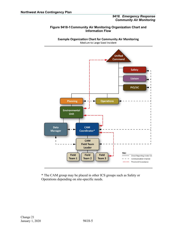#### **Figure 9418-1Community Air Monitoring Organization Chart and Information Flow**

**Example Organization Chart for Community Air Monitoring** Medium to Large Sized Incident



\* The CAM group may be placed in other ICS groups such as Safety or Operations depending on site-specific needs.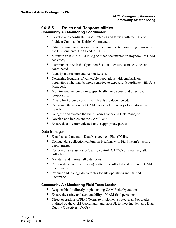## <span id="page-8-0"></span>**9418.5 Roles and Responsibilities Community Air Monitoring Coordinator**

- Develop and coordinate CAM strategies and tactics with the EU and Incident Commander/Unified Command`,
- Establish timeline of operations and communicate monitoring plans with the Environmental Unit Leader (EUL),
- Maintain an ICS 214- Unit Log or other documentation (logbook) of CAM activities,
- Communicate with the Operation Section to ensure team activities are coordinated,
- Identify and recommend Action Levels,
- Determine locations of vulnerable populations with emphasis on populations who may be more sensitive to exposure. (coordinate with Data Manager),
- **Monitor weather conditions, specifically wind speed and direction,** temperature,
- **Ensure background contaminant levels are documented,**
- Determine the amount of CAM teams and frequency of monitoring and reporting,
- Delegate and oversee the Field Team Leader and Data Manager,
- Develop and implement the CAMP, and
- Ensure data is communicated to the appropriate parties.

## **Data Manager**

- Establish and maintain Data Management Plan (DMP),
- Conduct data collection calibration briefings with Field Team(s) before deployments,
- Perform quality assurance/quality control  $(QA/QC)$  on data daily after collection,
- Maintain and manage all data forms,
- **Process data from Field Team(s) after it is collected and present to CAM** Coordinator,
- **Produce and manage deliverables for site operations and Unified** Command.

## **Community Air Monitoring Field Team Leader**

- Responsible for directly implementing CAM Field Operations,
- **Ensure the safety and accountability of CAM field personnel,**
- Direct operations of Field Teams to implement strategies and/or tactics outlined by the CAM Coordinator and the EUL to meet Incident and Data Quality Objectives (DQOs),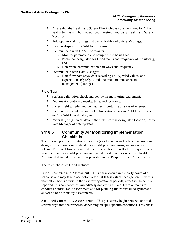- Ensure that the Health and Safety Plan includes considerations for CAM field activities and hold operational meetings and daily Health and Safety Meetings,
- Hold operational meetings and daily Health and Safety Meetings,
- Serve as dispatch for CAM Field Teams,
- Communicate with CAM Coordinator:
	- o Monitor parameters and equipment to be utilized,
	- o Personnel designated for CAM teams and frequency of monitoring, and
	- o Determine communication pathways and frequency.
- Communicate with Data Manager:
	- o Data flow pathways, data recording utility, valid values, and expectations (QA/QC), and document maintenance and management (storage).

## **Field Team**

- **Perform calibration-check and deploy air monitoring equipment;**
- Document monitoring results, time, and locations;
- Collect field samples and conduct air monitoring at areas of interest;
- Communicate readings and field observations back to Field Team Leader and/or CAM Coordinator; and
- **Perform QA/QC** on all data in the field, store in designated location, notify Data Manager of data updates.

## <span id="page-9-0"></span>**9418.6 Community Air Monitoring Implementation Checklists**

The following implementation checklists (short version and detailed version) are designed to aid users in establishing a CAM program during an emergency release. The checklists are divided into three sections to reflect the major phases in implementing a CAM program and include best practices where applicable. Additional detailed information is provided in the Response Tool Attachments.

The three phases of CAM include:

**Initial Response and Assessment –** This phase occurs in the early hours of a response and may take place before a formal ICS is established (generally within the first 24 hours or within the first few operational periods) after the incident is reported. It is composed of immediately deploying a Field Team or teams to conduct an initial rapid assessment and for planning future sustained systematic and/or ad hoc air quality assessments.

**Sustained Community Assessments –** This phase may begin between one and several days into the response, depending on spill-specific conditions. This phase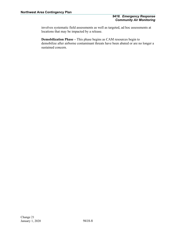involves systematic field assessments as well as targeted, ad hoc assessments at locations that may be impacted by a release.

**Demobilization Phase –** This phase begins as CAM resources begin to demobilize after airborne contaminant threats have been abated or are no longer a sustained concern.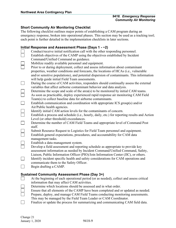## <span id="page-11-0"></span>**Short Community Air Monitoring Checklist**

The following checklist outlines major points of establishing a CAM program during an emergency response, broken into operational phases. This section may be used as a tracking tool; each point is further detailed in the implementation checklists in later sections.

### **Initial Response and Assessment Phase (Days 1 - ~2)**

|        | Conduct/receive initial notification call with the other responding personnel.                   |
|--------|--------------------------------------------------------------------------------------------------|
|        | Establish objectives of the CAMP using the objectives established by Incident                    |
|        | Command/Unified Command as guidance.                                                             |
|        | Mobilize readily available personnel and equipment.                                              |
|        | Prior to or during deployment, collect and assess information about contaminant                  |
|        | properties, weather conditions and forecasts, the locations of HCAs (i.e., vulnerable            |
|        | and/or sensitive populations), and potential dispersion of contaminants. This information        |
|        | will help guide initial Field Team assessments.                                                  |
|        | During the course of CAM activities, responders should continually assess the external           |
|        | variables that affect airborne contaminant behavior and data analysis.                           |
|        | Determine the scope and scale of the area(s) to be monitored by initial CAM teams.               |
| $\Box$ | As soon as practicable, deploy experienced rapid response air monitoring CAM Field               |
|        | Team(s) to collect baseline data for airborne contaminants.                                      |
|        | Establish communication and coordination with appropriate ICS group(s) and/or                    |
|        | Air/Public health agencies.                                                                      |
|        | Identify initial CAM action levels for the contaminants of concern.                              |
|        | Establish a process and schedule (i.e., hourly, daily, etc.) for reporting results and Action    |
|        | Level (or other threshold) exceedances.                                                          |
|        | Determine the number of CAM Field Teams and appropriate level of Command Post<br>staff.          |
|        | Submit Resource Request to Logistics for Field Team personnel and equipment.                     |
|        | Establish general expectations, procedures, and accountability for CAM data<br>management tasks. |
|        | Establish a data management system.                                                              |
|        | Develop a field assessment and reporting schedule as appropriate to provide key                  |
|        | assessment information as needed by Incident Command/Unified Command, Safety,                    |
|        | Liaison, Public Information Officer (PIO)/Join Information Center (JIC), or others.              |
|        | Identify incident specific health and safety considerations for CAM operations and               |
|        | communicate them to the Safety Officer.                                                          |
|        | Begin drafting a CAMP.                                                                           |
|        |                                                                                                  |

## **Sustained Community Assessment Phase (Day 3+)**

- At the beginning of each operational period (or as needed), collect and assess critical  $\Box$ information that may affect CAM activities.
	- Determine which locations should be assessed and in what order.
- Ensure that all elements of the CAMP have been completed and or updated as needed.
- Prepare, deploy, and manage CAM Field Teams conducting monitoring assessments. This may be managed by the Field Team Leader or CAM Coordinator.
- $\Box$ Finalize or update the process for summarizing and communicating CAM field data.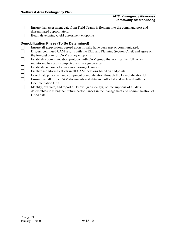- $\Box$ Ensure that assessment data from Field Teams is flowing into the command post and disseminated appropriately.
- $\Box$ Begin developing CAM assessment endpoints.

## **Demobilization Phase (To Be Determined)**

- Ensure all expectations agreed upon initially have been met or communicated.
- Discuss continued CAM results with the EUL and Planning Section Chief, and agree on the forecast plan for CAM survey endpoints.
- $\Box$ Establish a communication protocol with CAM group that notifies the EUL when monitoring has been completed within a given area.
- Establish endpoints for area monitoring clearance.
- Finalize monitoring efforts in all CAM locations based on endpoints.
- Coordinate personnel and equipment demobilization through the Demobilization Unit.
- Ensure that all of the CAM documents and data are collected and archived with the Documentation Unit.
- $\Box$ Identify, evaluate, and report all known gaps, delays, or interruptions of all data deliverables to strengthen future performances in the management and communication of CAM data.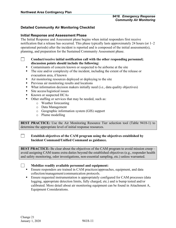## <span id="page-13-0"></span>**Detailed Community Air Monitoring Checklist**

### <span id="page-13-1"></span>**Initial Response and Assessment Phase**

The Initial Response and Assessment phase begins when initial responders first receive notification that a release has occurred. This phase typically lasts approximately 24 hours (or 1–2 operational periods) after the incident is reported and is composed of the initial assessment(s), planning, and preparation for the Sustained Community Assessment phase.

### **Conduct/receive initial notification call with the other responding personnel; discussion points should include the following:**

- Contaminants of concern known or suspected to be airborne at the site
- The size and/or complexity of the incident, including the extent of the release or evacuation area, if known
- Air monitoring resources deployed or deploying to the site
- **Previous air monitoring results and locations**
- What information decision makers initially need (i.e., data quality objectives)
- Site access/logistical issues
- Known or suspected HCAs
- Other staffing or services that may be needed, such as:
	- o Weather forecasting
		- o Data Management
	- o Geographic information system (GIS) support
	- o Plume modelling

**BEST PRACTICE**: Use the Air Monitoring Resource Tier selection tool (Table 9418-1) to determine the appropriate level of initial response resources.

## **Establish objectives of the CAM program using the objectives established by Incident Command/Unified Command as guidance.**

**BEST PRACTICE:** Be clear about the objectives of the CAM program to avoid mission creep avoid assigning CAM teams extra duties beyond the established objectives (e.g., responder health and safety monitoring, odor investigations, non-essential sampling, etc.) unless warranted.

 $\Box$ 

 $\Box$ 

 $\Box$ 

#### **Mobilize readily available personnel and equipment:**

- **Ensure responders are trained in CAM practices/approaches, equipment, and data** collection/management/communication protocols.
- **Ensure requested instrumentation is appropriately configured for CAM processes (data** logging, appropriate detection limits, fully charged, etc.) and is bump tested and/or calibrated. More detail about air monitoring equipment can be found in Attachment A, Equipment Considerations.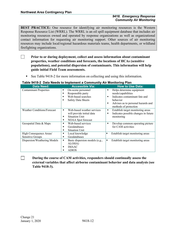**BEST PRACTICE:** One resource for identifying air monitoring resources is the Western Response Resource List (WRRL). The WRRL is an oil spill equipment database that includes air monitoring resources owned and operated by response organizations as well as organizational contact information for requesting air monitoring support. Other sources of air monitoring resources may include local/regional hazardous materials teams, health departments, or wildland firefighting organizations.

- $\Box$ **Prior to or during deployment, collect and assess information about contaminant properties, weather conditions and forecasts, the locations of HCAs (sensitive populations), and potential dispersion of contaminants. This information will help guide initial Field Team assessments.**
	- See Table 9418-2 for more information on collecting and using this information.

| $\frac{1}{2}$ able $\frac{34}{2}$ for Data Needs to implement a Community All Monitoring Figure |                                     |                                           |  |  |  |  |
|-------------------------------------------------------------------------------------------------|-------------------------------------|-------------------------------------------|--|--|--|--|
| <b>Data Need:</b>                                                                               | <b>Accessible Via:</b>              | <b>How to Use Data:</b>                   |  |  |  |  |
| <b>Contaminant Properties</b>                                                                   | On-scene personnel<br>٠             | Helps determine equipment<br>٠            |  |  |  |  |
|                                                                                                 | Responsible party<br>п              | needs/capabilities                        |  |  |  |  |
|                                                                                                 | Web-based searches<br>п             | Indicates contaminant fate and<br>п       |  |  |  |  |
|                                                                                                 | <b>Safety Data Sheets</b><br>п      | behavior                                  |  |  |  |  |
|                                                                                                 |                                     | Advises as to personal hazards and<br>п   |  |  |  |  |
|                                                                                                 |                                     | methods of protection                     |  |  |  |  |
| <b>Weather Conditions/Forecast</b>                                                              | Web-based weather services          | Establish target monitoring areas<br>٠    |  |  |  |  |
|                                                                                                 | will provide initial data           | Indicates possible changes in future<br>٠ |  |  |  |  |
|                                                                                                 | <b>Situation Unit</b>               | monitoring                                |  |  |  |  |
|                                                                                                 | NOAA Spot forecast                  |                                           |  |  |  |  |
| Geospatial Data & Maps                                                                          | Web-based services                  | Develop common operating picture<br>٠     |  |  |  |  |
|                                                                                                 | Geodatabases                        | for CAM activities                        |  |  |  |  |
|                                                                                                 | <b>Situation Unit</b>               |                                           |  |  |  |  |
| High Consequence Areas/                                                                         | Local knowledge                     | Establish target monitoring areas<br>п    |  |  |  |  |
| Sensitive Groups                                                                                | Geodatabases<br>٠                   |                                           |  |  |  |  |
| Dispersion/Weathering Models                                                                    | Basic dispersion models (e.g.,<br>٠ | Establish target monitoring areas<br>٠    |  |  |  |  |
|                                                                                                 | ALOHA)                              |                                           |  |  |  |  |
|                                                                                                 | <b>IMAAC</b>                        |                                           |  |  |  |  |
|                                                                                                 | <b>ADIOS</b>                        |                                           |  |  |  |  |

#### **Table 9418-2 Data Needs to Implement a Community Air Monitoring Plan**

**During the course of CAM activities, responders should continually assess the external variables that affect airborne contaminant behavior and data analysis (see Table 9418-3).**

 $\Box$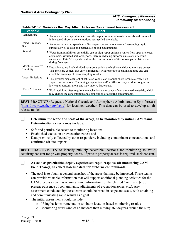| <b>Variable</b>               | <b>Impact</b>                                                                                                                                                                                                                                                                                            |
|-------------------------------|----------------------------------------------------------------------------------------------------------------------------------------------------------------------------------------------------------------------------------------------------------------------------------------------------------|
| Temperature                   | An increase in temperature increases the vapor pressure of most chemicals and can result<br>in increased airborne concentrations near spilled chemicals.                                                                                                                                                 |
| Wind Direction/<br>Speed      | An increase in wind speed can affect vapor concentrations near a freestanding liquid<br>surface as well as dust and particulate-bound contaminants.                                                                                                                                                      |
| Rainfall                      | ■ Water from rainfall can essentially cap or plug vapor emission routes from open or closed<br>containers, saturated soil, or lagoons, thereby reducing airborne emissions of certain<br>substances. Rainfall may also reduce the concentrations of fire smoke particulate matter<br>during fire events. |
| Moisture/Relative<br>Humidity | ■ Dusts, including finely divided hazardous solids, are highly sensitive to moisture content.<br>This moisture content can vary significantly with respect to location and time and can<br>affect the accuracy of many sampling results.                                                                 |
| Vapor Emissions               | The physical displacement of saturated vapors can produce short-term, relatively high<br>vapor concentrations. Continuing evaporation and/or diffusion may produce long-term<br>low vapor concentrations and may involve large areas.                                                                    |
| Work Activities               | Work activities often require the mechanical disturbance of contaminated materials, which<br>may change the concentration and composition of airborne contaminants.                                                                                                                                      |

#### **Table 9418-3 Variables that May Affect Airborne Contaminant Assessment**

**BEST PRACTICE***:* Request a National Oceanic and Atmospheric Administration Spot forecast [\(https://www.weather.gov/spot/\)](https://www.weather.gov/spot/) for localized weather. This data can be used to develop an air release model.

## **Determine the scope and scale of the area(s) to be monitored by initial CAM teams. Determination criteria may include:**

- Safe and permissible access to monitoring locations;
- Established exclusion or evacuation zones; and
- Data previously collected by other responders, including contaminant concentrations and confirmed off site impacts.

**BEST PRACTICE**: Try to identify publicly accessible locations for monitoring to avoid acquiring consent for private property access. If private property access is required, seek consent.

**As soon as practicable, deploy experienced rapid response air monitoring CAM Field Team(s) to collect baseline data for airborne contaminants.**

- The goal is to obtain a general snapshot of the areas that may be impacted. These teams can provide valuable information that will support additional planning activities for the CAM process as well as near-real time information for the Unified Command (e.g., presence/absence of contaminants, adjustments of evacuation zones, etc.). Any assessment conducted by these teams should be broad in scope and scale, with obtaining and communicating rapid results as a goal.
- The initial assessment should include:
	- o Using basic instrumentation to obtain location-based monitoring results;
	- $\circ$  Monitoring downwind of an incident then moving 360 degrees around the site;

П

 $\Box$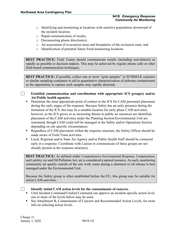- o Identifying and monitoring at locations with sensitive populations downwind of the incident location;
- o Rapid communication of results;
- o Documenting plume direction(s);
- o An assessment of evacuation areas and boundaries of the exclusion zone; and
- o Identification of potential future fixed monitoring locations.

**BEST PRACTICE***:* Field Teams should communicate results (including non-detects) as rapidly as possible to decision makers. This may be achieved by regular phone calls or other field-based communication techniques.

**BEST PRACTICE**: If possible, collect one or more "grab samples" in SUMMA® canisters or similar sampling containers to aid in quantitative characterization of airborne contaminants as the opportunity to capture such samples may rapidly diminish.

### **Establish communication and coordination with appropriate ICS group(s) and/or Air/Public health agencies.**

- **•** Determine the most appropriate point of contact in the ICS for CAM personnel placement during the early stages of the response. Because Safety has an early presence during the formation of the ICS, this may be a suitable location for early phase CAM activities; however, as the ICS grows or as increasing threats to public air resources are identified, placement of the CAM activities under the Planning Section/Environmental Unit are warranted, though CAM could still be managed in the Safety and/or Operations Section depending on site specific circumstances.
- Regardless of CAM placement within the response structure, the Safety Officer should be made aware of Field Team activities.
- Local, Regional and/or State Air Agency and/or Public Health Staff should be contacted early in a response. Coordinate with Liaison to communicate (if these groups are not already present in the response structure).

**BEST PRACTICE**: As defined under Comprehensive Environmental Response, Compensation, and Liability Act and Oil Pollution Act, air is considered a natural resource. As such, monitoring community air quality outside of the site work zones during a chemical or oil release is best managed under the Environmental Unit.

Because the Safety group is often established before the EU, this group may be suitable for initial CAM activities.

 $\sim$  1

## **Identify initial CAM action levels for the contaminants of concern.**

- Until Incident Command/Unified Command can approve an incident specific action level, one or more of the levels below may be used**.**
- See Attachment B, Contaminants of Concern and Recommended Action Levels, for more info on selecting action levels.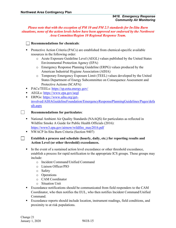*Please note that with the exception of PM 10 and PM 2.5 standards for In-Situ Burn situations, none of the action levels below have been approved nor endorsed by the Northwest Area Committee/Region 10 Regional Response Team.*

## **Recommendations for chemicals**:

- **Protective Action Criteria (PACs) are established from chemical-specific available** resources in the following order:
	- o Acute Exposure Guideline Level (AEGL) values published by the United States Environmental Protection Agency (EPA)
	- o Emergency Response Planning Guideline (ERPG) values produced by the American Industrial Hygiene Association (AIHA)
	- o Temporary Emergency Exposure Limit (TEEL) values developed by the United States Department of Energy Subcommittee on Consequence Assessment and Protective Actions (SCAPA)
- PACs/TEELs: [https://sp.eota.energy.gov/](https://sp.eota.energy.gov/SitePages/EDMS.aspx)
- AEGLs: <https://www.epa.gov/aegl>
- ERPGs: [https://www.aiha.org/get](https://www.aiha.org/get-involved/AIHAGuidelineFoundation/EmergencyResponsePlanningGuidelines/Pages/default.aspx)[involved/AIHAGuidelineFoundation/EmergencyResponsePlanningGuidelines/Pages/defa](https://www.aiha.org/get-involved/AIHAGuidelineFoundation/EmergencyResponsePlanningGuidelines/Pages/default.aspx) [ult.aspx](https://www.aiha.org/get-involved/AIHAGuidelineFoundation/EmergencyResponsePlanningGuidelines/Pages/default.aspx)
- **Recommendations for particulates**:
- National Ambient Air Quality Standards (NAAQS) for particulates as reflected in Wildfire Smoke A Guide for Public Health Officials (2016): [https://www3.epa.gov/airnow/wildfire\\_may2016.pdf](https://www3.epa.gov/airnow/wildfire_may2016.pdf)
- **NWACP In-Situ Burn Criteria (Section 9407)**

## **Establish a process and schedule (hourly, daily, etc.) for reporting results and Action Level (or other threshold) exceedances.**

- In the event of a sustained action level exceedance or other threshold exceedance, establish a process for rapid notification to the appropriate ICS groups. These groups may include:
	- o Incident Command/Unified Command
	- o Liaison Officer/PIO
	- o Safety
	- o Operations
	- o CAM Coordinator
	- o Situation Unit
- **Exceedance notifications should be communicated from field responders to the CAM** Coordinator, who then notifies the EUL, who then notifies Incident Command/Unified Command.
- Exceedance reports should include location, instrument readings, field conditions, and proximity to at risk populations.

 $\Box$ 

 $\Box$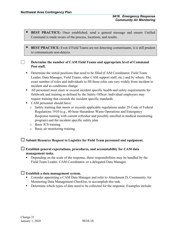$\Box$ 

- **BEST PRACTICE***:* Once established, send a general message and ensure Unified Command is made aware of the process, locations, and results.
- **BEST PRACTICE**: Even if Field Teams are not detecting contaminants, it is still prudent to communicate non-detects.

## **Determine the number of CAM Field Teams and appropriate level of Command Post staff.**

- **Determine the initial positions that need to be filled (CAM Coordinator, Field Team** Leader, Data Manager, Field Teams, other CAM support staff, etc.) and by whom. The exact number of roles and individuals to fill those roles can vary widely from incident to incident and as conditions change.
- All personnel must meet or exceed incident specific health and safety requirements for fieldwork and training as defined by the Safety Officer. Individual employers may require training that exceeds the incident specific standards.
- CAM personnel should have:
	- o Safety training that meets or exceeds applicable regulations under 29 Code of Federal Regulations 1910 (e.g., 40-hour Hazardous Waste Operations and Emergency Response training with current refresher and possibly enrolled in medical monitoring program) and the incident specific safety plan
	- o Basic ICS training
	- o Basic air monitoring training

## **Submit Resource Request to Logistics for Field Team personnel and equipment.**

## **Establish general expectations, procedures, and accountability for CAM data management tasks.**

Depending on the scale of the response, these responsibilities may be handled by the Field Team Leader, CAM Coordinator, or a delegated Data Manager.

## **Establish a data management system.**

- Consider appointing a CAM Data Manager and refer to Attachment D, Community Air Monitoring Data Management Checklist, to accomplish this task.
- Determine which types of data need to be collected for the response. Examples include: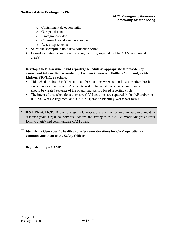- o Contaminant detection units,
- o Geospatial data,
- o Photographs/video,
- o Command post documentation, and
- o Access agreements.
- Select the appropriate field data collection forms.
- Consider creating a common operating picture geospatial tool for CAM assessment area(s).
- **Develop a field assessment and reporting schedule as appropriate to provide key assessment information as needed by Incident Command/Unified Command, Safety, Liaison, PIO/JIC, or others.**
	- This schedule should NOT be utilized for situations when action levels or other threshold exceedances are occurring. A separate system for rapid exceedance communication should be created separate of the operational period based reporting cycle.
	- The intent of this schedule is to ensure CAM activities are captured in the IAP and/or on ICS 204 Work Assignment and ICS 215 Operation Planning Worksheet forms.
- **BEST PRACTICE:** Begin to align field operations and tactics into overarching incident response goals. Organize individual actions and strategies in ICS 234 Work Analysis Matrix form to clarify and communicate CAM goals.

 **Identify incident specific health and safety considerations for CAM operations and communicate them to the Safety Officer.**

**Begin drafting a CAMP.**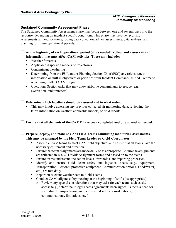## <span id="page-20-0"></span>**Sustained Community Assessment Phase**

The Sustained Community Assessment Phase may begin between one and several days into the response, depending on incident-specific conditions. This phase may involve recurring assessments at fixed locations, roving data collection, ad hoc assessments, data analysis, and planning for future operational periods.

 **At the beginning of each operational period (or as needed), collect and assess critical information that may affect CAM activities. These may include:**

- Weather forecasts
- Applicable dispersion models or trajectories
- Contaminant weathering
- **•** Determining from the EUL and/or Planning Section Chief (PSC) any relevant/new information or shift in objectives or priorities from Incident Command/Unified Command which might affect CAM program.
- Operations Section tasks that may allow airborne contaminants to escape (e.g., excavation, tank transfers)

## **Determine which locations should be assessed and in what order.**

 This may involve assessing any previous collected air monitoring data, reviewing the latest information on weather, applicable models, or field reports.

## **Ensure that all elements of the CAMP have been completed and or updated as needed.**

 **Prepare, deploy, and manage CAM Field Teams conducting monitoring assessments. This may be managed by the Field Team Leader or CAM Coordinator.** 

- Assemble CAM teams to meet CAM field objectives and ensure that all teams have the necessary equipment and direction.
- **Ensure that team assignments are made daily or as appropriate. Be sure the assignments** are reflected in ICS 204 Work Assignment forms and passed on to the teams.
- **Ensure teams understand the action levels, thresholds, and reporting processes.**
- Identify and ensure Field Team safety and logistical needs (e.g., Equipment, Transportation, Personal protective equipment, Communication options, Food/Water, etc.) are met daily.
- Report on relevant weather data to Field Teams.
- Conduct CAM tailgate safety meeting at the beginning of shifts (as appropriate):
	- o Review any special considerations that may exist for each team, such as site access (e.g., determine if legal access agreements been signed; is there a need for specialized transportation; are there special safety considerations, communications, limitations, etc.)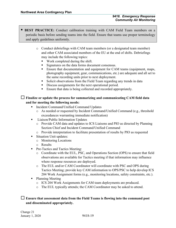## **BEST PRACTICE:** Conduct calibration training with CAM Field Team members on a periodic basis before sending teams into the field. Ensure that teams use proper terminology and apply guidelines uniformly.

- o Conduct debriefings with CAM team members (or a designated team member) and other CAM associated members of the EU at the end of shifts. Debriefings may include the following topics:
	- Work completed during the shift.
	- Signatures on the data forms document consensus.
	- **Ensure that documentation and equipment for CAM teams (equipment, maps,** photography equipment, gear, communications, etc.) are adequate and all set to the same recording units prior to next deployment.
	- Solicit observations from the Field Team regarding any trends in data
	- Discuss assignments for the next operational period.
	- Ensure that data is being collected and recorded appropriately.

## **Finalize or update the process for summarizing and communicating CAM field data and for meeting the following needs:**

- Incident Command/Unified Command Updates
	- o As needed or requested by Incident Command/Unified Command (e.g., threshold exceedances warranting immediate notification)
- **Liaison/Public Information Updates** 
	- o Provide CAM data and updates to ICS Liaisons and PIO as directed by Planning Section Chief and Incident Command/Unified Command
	- o Provide interpretation to facilitate presentation of results by PIO as requested
- Situation Unit updates:
	- o Monitoring Locations
	- o Results
- **Pre-Tactics and Tactics Meeting:** 
	- o Coordinate with the EUL, PSC, and Operations Section (OPS) to ensure that field observations are available for Tactics meeting if that information may influence where response resources are deployed.
	- o The EUL and/or CAM Coordinator will coordinate with PSC and OPS during Tactics Meeting; provide key CAM information to OPS/PSC to help develop ICS 204 Work Assignment forms (e.g., monitoring locations, safety constraints, etc.).
- Planning Meeting
	- o ICS 204 Work Assignments for CAM team deployments are produced.
	- o The EUL typically attends; the CAM Coordinator may be asked to attend.

## **Ensure that assessment data from the Field Teams is flowing into the command post and disseminated appropriately.**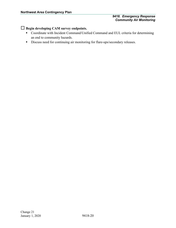## **Begin developing CAM survey endpoints.**

- Coordinate with Incident Command/Unified Command and EUL criteria for determining an end to community hazards.
- Discuss need for continuing air monitoring for flare-ups/secondary releases.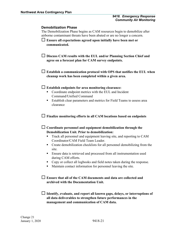#### <span id="page-23-0"></span>**Demobilization Phase**

The Demobilization Phase begins as CAM resources begin to demobilize after airborne contaminant threats have been abated or are no longer a concern.

- **Ensure all expectations agreed upon initially have been met or communicated.**
- **Discuss CAM results with the EUL and/or Planning Section Chief and agree on a forecast plan for CAM survey endpoints.**
- **Establish a communication protocol with OPS that notifies the EUL when cleanup work has been completed within a given area.**

#### **Establish endpoints for area monitoring clearance:**

- Coordinate endpoint metrics with the EUL and Incident Command/Unified Command
- Establish clear parameters and metrics for Field Teams to assess area clearance

## **Finalize monitoring efforts in all CAM locations based on endpoints**

## **Coordinate personnel and equipment demobilization through the Demobilization Unit. Prior to demobilization:**

- Track all personnel and equipment leaving site, and reporting to CAM Coordinator/CAM Field Team Leader.
- Create demobilization checklists for all personnel demobilizing from the site.
- Ensure data is retrieved and processed from all instrumentation used during CAM efforts.
- Copy or collect all logbooks and field notes taken during the response.
- Maintain contact information for personnel leaving the site.

## **Ensure that all of the CAM documents and data are collected and archived with the Documentation Unit.**

 **Identify, evaluate, and report all known gaps, delays, or interruptions of all data deliverables to strengthen future performances in the management and communication of CAM data.**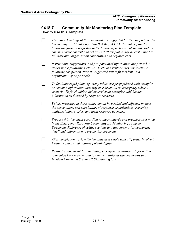## <span id="page-24-1"></span><span id="page-24-0"></span>**9418.7 Community Air Monitoring Plan Template How to Use this Template**

- $\Box$ *The major headings of this document are suggested for the completion of a Community Air Monitoring Plan (CAMP). A CAMP is not required to follow the formats suggested in the following sections, but should contain commensurate content and detail. CAMP templates may be customized to fill individual organization capabilities and requirements.*
- $\Box$ *Instructions, suggestions, and pre-populated information are printed in italics in the following sections. Delete and replace these instructions following completion. Rewrite suggested text to fit incident- and organization-specific needs.*
- $\Box$ *To facilitate rapid planning, many tables are prepopulated with examples or common information that may be relevant to an emergency release scenario. To finish tables, delete irrelevant examples, add further information as dictated by response scenario.*
- $\Box$ *Values presented in these tables should be verified and adjusted to meet the expectations and capabilities of response organizations, receiving analytical laboratories, and local response agencies.*
- $\Box$ *Prepare this document according to the standards and practices presented in the Emergency Response Community Air Monitoring Program Document. Reference checklist sections and attachments for supporting detail and information to create this document.*
- $\Box$ *After completion, review the template as a whole with all parties involved. Evaluate clarity and address potential gaps.*
- $\Box$ *Retain this document for continuing emergency operations. Information assembled here may be used to create additional site documents and Incident Command System (ICS) planning forms.*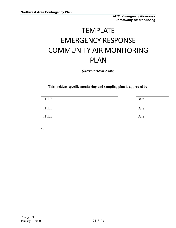# **TEMPLATE** EMERGENCY RESPONSE COMMUNITY AIR MONITORING PLAN

*(Insert Incident Name)*

**This incident-specific monitoring and sampling plan is approved by:**

| <b>TITLE</b> | Date |
|--------------|------|
| <b>TITLE</b> | Date |
| <b>TITLE</b> | Date |

cc: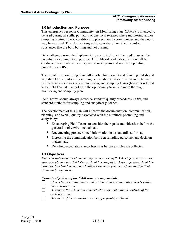## <span id="page-26-0"></span>**1.0 Introduction and Purpose**

This emergency response Community Air Monitoring Plan (CAMP) is intended to be used during oil spills, pollutant, or chemical releases where monitoring and/or sampling of atmospheric conditions to protect nearby communities and the public may be required. This plan is designed to consider oil or other hazardous substances that are both burning and not burning.

Data gathered during the implementation of this plan will be used to assess the potential for community exposures. All fieldwork and data collection will be conducted in accordance with approved work plans and standard operating procedures (SOPs).

The use of this monitoring plan will involve forethought and planning that should help direct the monitoring, sampling, and analytical work. It is meant to be used in emergency responses where monitoring and sampling teams (hereafter referred to as Field Teams) may not have the opportunity to write a more thorough monitoring and sampling plan.

Field Teams should always reference standard quality procedures, SOPs, and standard methods for sampling and analytical guidance.

The development of this plan will improve the documentation, communication, planning, and overall quality associated with the monitoring/sampling and analysis by:

- Encouraging Field Teams to consider their goals and objectives before the generation of environmental data,
- Documenting predetermined information in a standardized format,
- Increasing the communication between sampling personnel and decision makers, and
- Detailing expectations and objectives before samples are collected.

## <span id="page-26-1"></span>**1.1 Objectives**

*The brief statement about community air monitoring (CAM) Objectives is a short narrative about what Field Teams should accomplish. These objectives should be based on Incident Commander/Unified Command (Incident Command/Unified Command) objectives.* 

#### *Example objectives of the CAM program may include:*

- *Characterize contaminants and/or determine contamination levels within*   $\Box$ *the exclusion zone.*
- $\Box$ *Determine the extent and concentrations of contaminants outside of the exclusion zone.*
- $\Box$ *Determine if the exclusion zone is appropriately defined.*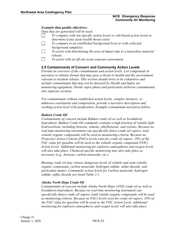#### *Example data quality objectives:*

*Data that are generated will be used:*

- *To compare with site-specific action levels or risk-based action levels to*   $\perp$ *determine if any acute health threat exists.*
- *To compare to an established background level or with collected background sample(s).*
- *To assist with determining the area of impact due to a hazardous material release.*
- $\overline{\phantom{a}}$ *To assist with an off-site acute exposure assessment.*

## <span id="page-27-0"></span>**2.0 Contaminants of Concern and Community Action Levels**

*Provide an overview of the contaminants and action levels. List compounds in narrative or tabular format that may pose a threat to health and the environment relevant to incident release. This section should strive to be exhaustive and include contaminants that may not be detected by Health and Safety air monitoring equipment. Divide vapor phase and particulate airborne contaminants into separate sections.*

*For contaminants without established action levels, complex mixtures, or unknown constituents and composition, provide a narrative description and working action level with justification. Example contaminant narratives follow:*

#### *Bakken Crude Oil*

*Contaminants of concern include Bakken crude oil as well as breakdown byproducts. Bakken Crude Oil commonly contains a high fraction of volatile light hydrocarbons, including benzene, toluene, ethylbenzene, and xylenes. Because no real-time monitoring instrument can specifically detect crude oil vapors, total volatile organic compounds will be used as monitoring criteria. Because no Protective Action Criteria (PACs) levels exist for crude oil vapors, 10% of the PAC value for gasoline will be used as the volatile organic compound (VOC) Action Level. Additional monitoring for explosive atmospheres and oxygen levels will also take place. Chemical-specific monitoring may also take place as necessary (e.g., benzene, carbon monoxide, etc.).*

*Burning crude oil may release dangerous levels of volatile and semi-volatile organic compounds, carbon monoxide, hydrogen sulfide, sulfur dioxide, and particulate matter. Community action levels for Carbon monoxide, hydrogen sulfide, sulfur dioxide are listed Table 2.1.*

#### *Alaska North Slope Crude Oil*

*Contaminants of concern include Alaska North Slope (ANS) crude oil as well as breakdown byproducts. Because no real-time monitoring instrument can specifically detect crude oil vapors, total volatile organic compounds will be used as monitoring criteria. Because no PACs levels exist for crude oil vapors, 10% of the PAC value for gasoline will be used as the VOC Action Level. Additional monitoring for explosive atmospheres and oxygen levels will also take place.*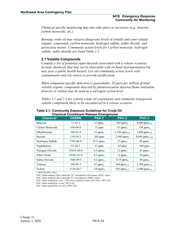*Chemical specific monitoring may also take place as necessary (e.g., benzene, carbon monoxide, etc.).*

*Burning crude oil may releases dangerous levels of volatile and semi-volatile organic compounds, carbon monoxide, hydrogen sulfide, sulfur dioxide, and particulate matter. Community action levels for Carbon monoxide, hydrogen sulfide, sulfur dioxide are listed Table 2.1.*

## <span id="page-28-0"></span>**2.1 Volatile Compounds**

*Compile a list of potential vapor hazards associated with a release scenario. Include chemicals that may not be detectable with on hand instrumentation but may pose a public health hazard. List site community action levels with contaminants and cite source or provide justification.*

*When compound specific detection is unavailable, 20 parts per million of total volatile organic compounds detected by photoionization detector/flame ionization detector or similar may be used as a surrogate action level*

*Tables 2.1 and 2.2 list volatile crude oil constituents and commonly transported volatile compounds likely to be encountered in a release scenario.* 

| <b>Chemical</b>  | <b>CASRN</b>   | <b>PAC-1</b>            | <b>PAC-2</b>            | <b>PAC-3</b>                |
|------------------|----------------|-------------------------|-------------------------|-----------------------------|
| Benzene          | $71 - 43 - 2$  | 52 pp $m_A$             | $800$ ppm <sub>A</sub>  | 4,000 pp $m_{A,X}$          |
| Carbon Monoxide  | $630 - 08 - 0$ | 75 ppm                  | 83 ppm <sub>A</sub>     | $330$ ppm <sub>A</sub>      |
| Ethylbenzene     | $100-41-4$     | $33$ ppm <sub>A</sub>   | $1,100$ ppm $_{A,X}$    | $1,800$ ppm <sub>A,X</sub>  |
| Hexane           | $110-54-3$     | 260 ppm                 | $2,900$ ppm $x$         | $8,600$ ppm <sub>A,XX</sub> |
| Hydrogen Sulfide | 7783-06-4      | $0.51$ ppm <sub>A</sub> | $27$ ppm <sub>A</sub>   | $50$ ppm $_A$               |
| Naphthalene      | $91 - 20 - 3$  | 15 ppm                  | 83 ppm                  | $500$ ppm                   |
| Nitrogen Dioxide | 10102-44-0     | $0.5~\text{ppm}_A$      | $12$ ppm <sub>A</sub>   | $20$ ppm <sub>A</sub>       |
| Nitric Oxide     | 10102-43-9     | $0.5$ ppm <sub>A</sub>  | $12$ ppm <sub>A</sub>   | $20$ ppm <sub>A</sub>       |
| Sulfur Dioxide   | 7446-09-5      | $0.2~\text{ppm}_A$      | $0.75$ ppm <sub>A</sub> | 30 ppm <sub>A</sub>         |
| Toluene          | 108-88-3       | $67$ ppm <sub>A</sub>   | 560 pp $m_{A,X}$        | 3,700 $ppm_{A,X}$           |
| Xylene           | 1330-20-7      | 130 pp $m_A$            | 920 pp $m_{A,X}$        | $2,500$ ppm <sub>A,X</sub>  |

#### **Table 2.1: Community Exposure Guidelines for Crude Oil Chemical Constituent Release Emergencies\***

\* DOE SCAPA, 2012

PAC values marked with a subscript "A" correspond to 60-minute AEGL values.

PAC values marked with a subscript "E" correspond to ERPG values.

PAC values marked by x are  $\geq 10\%$  lower explosive limit (LEL) but < 50% LEL.

PAC values marked by xx are >50% LEL

PAC values marked by xxx are  $\geq$ 100% LEL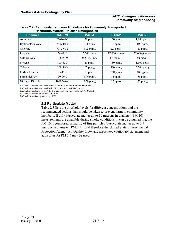|                   |                  | -------                            |                                    |                                   |
|-------------------|------------------|------------------------------------|------------------------------------|-----------------------------------|
| <b>Chemical</b>   | <b>CASRN</b>     | <b>PAC-1</b>                       | <b>PAC-2</b>                       | PAC-3                             |
| Ammonia           | 7664-41-7        | $30$ ppm <sub>A</sub>              | $160$ ppm <sub>A</sub>             | $1,100$ ppm <sub>A</sub>          |
| Hydrochloric Acid | 7647-01-0        | $1.8~\text{ppm}_\text{A}$          | 11 $ppm_A$                         | $100$ ppm <sub>A</sub>            |
| Chlorine          | 7772-60-5        | $0.05$ ppm <sub>A</sub>            | $2.0$ ppm <sub>A</sub>             | $20$ ppm <sub>A</sub>             |
| Propane           | 74-98-6          | $5,500$ ppm $x$                    | $17,000$ ppm $xx$                  | 33,000 ppmxxx                     |
| Sulfuric Acid     | 766-93-9         | $0.20 \text{ mg/m}^3$ <sub>A</sub> | 8.7 mg/m <sup>3</sup> <sub>A</sub> | $160 \text{ mg/m}^3$ <sub>A</sub> |
| Styrene           | $100 - 42 - 5$   | $20$ ppm <sub>A</sub>              | 130 pp $m_A$                       | $1,100$ ppm $x$                   |
| Toluene           | 108-88-3         | $67$ ppm <sub>A</sub>              | 560 pp $m_A$                       | $3,700$ ppm $x$                   |
| Carbon Disulfide  | $75 - 15 - 0$    | $13$ ppm <sub>A</sub>              | $160$ ppm <sub>A</sub>             | $480$ ppm <sub>A</sub>            |
| Formaldehyde      | $50-00-0$        | $0.90$ ppm <sub>A</sub>            | 14 $ppm_A$                         | 56 pp $m_A$                       |
| Nitrogen Dioxide  | $10102 - 44 - 0$ | $0.50$ ppm <sub>A</sub>            | $12$ ppm $_A$                      | $20$ ppm $_A$                     |

#### **Table 2.2 Community Exposure Guidelines for Commonly Transported Hazardous Material Release Emergencies**

PAC values marked with a subscript "A" correspond to 60-minute AEGL values.

PAC values marked with a subscript "E" correspond to ERPG values.

PAC values marked by x are  $\geq 10\%$  lower explosive limit (LEL) but < 50% LEL.

PAC values marked by xx are  $\geq$ 50% LEL

PAC values marked by xxx are  $\geq$ 100%

## <span id="page-29-0"></span>**2.2 Particulate Matter**

Table 2.3 lists the threshold levels for different concentrations and the recommended actions that should be taken to prevent harm to community members. If only particulate matter up to 10 microns in diameter (PM 10) measurements are available during smoky conditions, it can be assumed that the PM 10 is composed primarily of fine particles (particulate matter up to 2.5) microns in diameter [PM 2.5]), and therefore the United State Environmental Protection Agency Air Quality Index and associated cautionary statement and advisories for PM 2.5 may be used.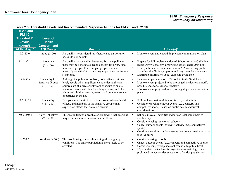| <b>PM 2.5 and</b><br><b>PM 10</b><br>Threshold <sup>1</sup><br><b>Levels</b><br>$(\mu g/m^3)$<br>24 Hr. Avg. 2 | <b>Level of</b><br><b>Health</b><br><b>Concern and</b><br><b>AQI Range</b> | <u>I ANIC 2.0. THE SHOID LEVEIS AND NECOMMENDED NESPONSE ACTIVITY IOFF IN 2.0 AND F IN TO</u><br>Meaning <sup>3</sup>                                                                                                                                                                                                          |                                       | Action(s) <sup>4</sup>                                                                                                                                                                                                                                                                                  |
|----------------------------------------------------------------------------------------------------------------|----------------------------------------------------------------------------|--------------------------------------------------------------------------------------------------------------------------------------------------------------------------------------------------------------------------------------------------------------------------------------------------------------------------------|---------------------------------------|---------------------------------------------------------------------------------------------------------------------------------------------------------------------------------------------------------------------------------------------------------------------------------------------------------|
|                                                                                                                |                                                                            |                                                                                                                                                                                                                                                                                                                                |                                       |                                                                                                                                                                                                                                                                                                         |
| $0.0 - 12.0$                                                                                                   | Good $(0-50)$                                                              | Air quality is considered satisfactory, and air pollution<br>poses little or no risk.                                                                                                                                                                                                                                          |                                       | If smoke event anticipated, implement communication plan.                                                                                                                                                                                                                                               |
| $12.1 - 35.4$                                                                                                  | Moderate<br>$(51-100)$                                                     | Air quality is acceptable; however, for some pollutants<br>there may be a moderate health concern for a very small<br>number of people. For example, people who are<br>unusually sensitive <sup>5</sup> to ozone may experience respiratory<br>symptoms.                                                                       | $\blacksquare$<br>$\blacksquare$      | Prepare for full implementation of School Activity Guidelines<br>(https://www3.epa.gov/airnow/flag/school-chart-2014.pdf)<br>Issue public service announcements (PSAs) advising public<br>about health effects, symptoms and ways to reduce exposure<br>Distribute information about exposure avoidance |
| $35.5 - 55.4$                                                                                                  | Unhealthy for<br><b>Sensitive Groups</b><br>$(101-150)$                    | Although the public is not likely to be affected at this<br>level, people with lung disease, and older adults and<br>children are at a greater risk from exposure to ozone,<br>whereas persons with heart and lung disease, and older<br>adults and children are at greater risk from the presence<br>of particles in the air. | $\blacksquare$<br>$\blacksquare$      | Evaluate implementation of School Activity Guidelines<br>If smoke event projected to be prolonged, evaluate and notify<br>possible sites for cleaner air shelters<br>If smoke event projected to be prolonged, prepare evacuation<br>plans                                                              |
| 55.5-150.4                                                                                                     | Unhealthy<br>$(151 - 200)$                                                 | Everyone may begin to experience some adverse health<br>effects, and members of the sensitive groups <sup>6</sup> may<br>experience effects that are more serious.                                                                                                                                                             | ٠                                     | Full implementation of School Activity Guidelines<br>Consider canceling outdoor events (e.g., concerts and<br>competitive sports), based on public health and travel<br>considerations                                                                                                                  |
| 150.5-250.4                                                                                                    | Very Unhealthy<br>$(201 - 301)$                                            | This would trigger a health alert signifying that everyone<br>may experience more serious health effects.                                                                                                                                                                                                                      |                                       | Schools move all activities indoors or reschedule them to<br>another day.<br>Consider closing some or all schools<br>Cancel outdoor events involving activity (e.g., competitive<br>sports)<br>Consider cancelling outdoor events that do not involve activity<br>(e.g., concerts)                      |
| > 250.5                                                                                                        | Hazardous ( $>$ 300)                                                       | This would trigger a health warning of emergency<br>conditions. The entire population is more likely to be<br>affected.                                                                                                                                                                                                        | ٠<br>$\blacksquare$<br>$\blacksquare$ | Consider closing schools<br>Cancel outdoor events (e.g., concerts and competitive sports)<br>Consider closing workplaces not essential to public health<br>If particulate matter level is projected to remain high for a<br>prolonged time, consider evacuation of at-risk populations                  |

## **Table 2.3: Threshold Levels and Recommended Response Actions for PM 2.5 and PM 10**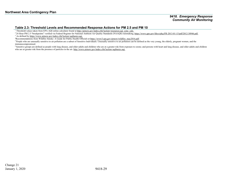#### **Table 2.3: Threshold Levels and Recommended Response Actions for PM 2.5 and PM 10**

<sup>1</sup> Threshold values taken from EPA AQI online calculator found at [http://airnow.gov/index.cfm?action=resources.aqi\\_conc\\_calc.](http://airnow.gov/index.cfm?action=resources.aqi_conc_calc)

<sup>2</sup> 24 Hour PM 2.5 "breakpoints" verified via Federal Register for National Ambient Air Quality Standards (NAAQS) rulemaking[, https://www.gpo.gov/fdsys/pkg/FR-2013-01-15/pdf/2012-30946.pdf.](https://www.gpo.gov/fdsys/pkg/FR-2013-01-15/pdf/2012-30946.pdf)

<sup>3</sup> As defined b[y https://www.airnow.gov/index.cfm?action=aqibasics.aqi.](https://www.airnow.gov/index.cfm?action=aqibasics.aqi)

4 Recommendations from Wildfire Smoke: A Guide for Public Health Officials a[t https://www3.epa.gov/airnow/wildfire\\_may2016.pdf.](https://www3.epa.gov/airnow/wildfire_may2016.pdf)

<sup>5</sup> People who are unusually sensitive to air pollution are a subset of Sensitive Individuals. Unusually sensitive to air pollution can be defined as the very young, the elderly, pregnant women, and the immunocompromised.

<sup>6</sup> Sensitive groups are defined as people with lung disease, and older adults and children who are at a greater risk from exposure to ozone; and persons with heart and lung disease, and older adults and children who are at greater risk from the presence of particles in the air[. http://www.airnow.gov/index.cfm?action=aqibasics.aqi.](http://www.airnow.gov/index.cfm?action=aqibasics.aqi)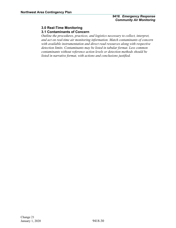## <span id="page-32-0"></span>**3.0 Real-Time Monitoring**

## <span id="page-32-1"></span>**3.1 Contaminants of Concern**

*Outline the procedures, practices, and logistics necessary to collect, interpret, and act on real-time air monitoring information. Match contaminants of concern with available instrumentation and direct read resources along with respective detection limits. Contaminants may be listed in tabular format. Less common contaminants without reference action levels or detection methods should be listed in narrative format, with actions and conclusions justified.*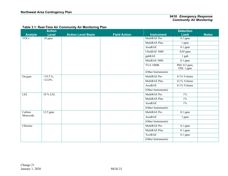|                | <b>Action</b> |                           |                     |                     | <b>Detection</b>            |              |
|----------------|---------------|---------------------------|---------------------|---------------------|-----------------------------|--------------|
| <b>Analyte</b> | <b>Level</b>  | <b>Action Level Basis</b> | <b>Field Action</b> | <b>Instrument</b>   | <b>Limit</b>                | <b>Notes</b> |
| <b>VOCs</b>    | 20 ppm        |                           |                     | MultiRAE Pro        | $0.1$ ppm                   |              |
|                |               |                           |                     | MultiRAE Plus       | 1 ppm                       |              |
|                |               |                           |                     | AreaRAE             | $0.1$ ppm                   |              |
|                |               |                           |                     | UltraRAE 3000       | $0.05$ ppm                  |              |
|                |               |                           |                     | ppbRAE              | $1$ ppb                     |              |
|                |               |                           |                     | MiniRAE 3000        | $0.1$ ppm                   |              |
|                |               |                           |                     | <b>TVA 1000b</b>    | PID: 0.5 ppm,<br>FID: 1 ppm |              |
|                |               |                           |                     | (Other Instruments) |                             |              |
| Oxygen         | $<19.5\%$ ,   |                           |                     | MultiRAE Pro        | 0.1% Volume                 |              |
|                | $>22.0\%$     |                           |                     | MultiRAE Plus       | 0.1% Volume                 |              |
|                |               |                           |                     | AreaRAE             | 0.1% Volume                 |              |
|                |               |                           |                     | (Other Instruments) |                             |              |
| <b>LEL</b>     | 10 % LEL      |                           |                     | MultiRAE Pro        | $1\%$                       |              |
|                |               |                           |                     | MultiRAE Plus       | $1\%$                       |              |
|                |               |                           |                     | AreaRAE             | $1\%$                       |              |
|                |               |                           |                     | (Other Instruments) |                             |              |
| Carbon         | $12.5$ ppm    |                           |                     | MultiRAE Pro        | $0.1$ ppm                   |              |
| Monoxide       |               |                           |                     | AreaRAE             | 1 ppm                       |              |
|                |               |                           |                     | (Other Instruments) |                             |              |
| Chlorine       |               |                           |                     | MultiRAE Pro        | $0.1$ ppm                   |              |
|                |               |                           |                     | MultiRAE Plus       | $0.1$ ppm                   |              |
|                |               |                           |                     | ToxiRAE             | $0.1$ ppm                   |              |
|                |               |                           |                     | (Other Instruments) |                             |              |

## **Table 3.1: Real-Time Air Community Air Monitoring Plan**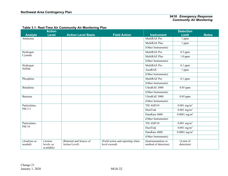|                         | <b>Action</b>                       |                                          |                                                   |                                             | <b>Detection</b>           |              |
|-------------------------|-------------------------------------|------------------------------------------|---------------------------------------------------|---------------------------------------------|----------------------------|--------------|
| <b>Analyte</b>          | <b>Level</b>                        | <b>Action Level Basis</b>                | <b>Field Action</b>                               | <b>Instrument</b>                           | <b>Limit</b>               | <b>Notes</b> |
| Ammonia                 |                                     |                                          |                                                   | MultiRAE Pro                                | 1 ppm                      |              |
|                         |                                     |                                          |                                                   | MultiRAE Plus                               | 1 ppm                      |              |
|                         |                                     |                                          |                                                   | (Other Instruments)                         |                            |              |
| Hydrogen                |                                     |                                          |                                                   | MultiRAE Pro                                | $0.5$ ppm                  |              |
| Cyanide                 |                                     |                                          |                                                   | MultiRAE Plus                               | $1.0$ ppm                  |              |
|                         |                                     |                                          |                                                   | (Other Instruments)                         |                            |              |
| Hydrogen                |                                     |                                          |                                                   | MultiRAE Pro                                | $0.1$ ppm                  |              |
| Sulfide                 |                                     |                                          |                                                   | AreaRAE                                     | 1 ppm                      |              |
|                         |                                     |                                          |                                                   | (Other Instruments)                         |                            |              |
| Phosphine               |                                     |                                          |                                                   | MultiRAE Pro                                | $0.1$ ppm                  |              |
|                         |                                     |                                          |                                                   | (Other Instruments)                         |                            |              |
| Butadiene               |                                     |                                          |                                                   | UltraRAE 3000                               | $0.05$ ppm                 |              |
|                         |                                     |                                          |                                                   | (Other Instruments)                         |                            |              |
| Benzene                 |                                     |                                          |                                                   | UltraRAE 3000                               | $0.05$ ppm                 |              |
|                         |                                     |                                          |                                                   | (Other Instruments)                         |                            |              |
| Particulates,           |                                     |                                          |                                                   | <b>TSI AM510</b>                            | $0.001$ mg/m <sup>3</sup>  |              |
| PM 2.5                  |                                     |                                          |                                                   | <b>DustTrak</b>                             | $0.001$ mg/m <sup>3</sup>  |              |
|                         |                                     |                                          |                                                   | DataRam 4000                                | $0.0001$ mg/m <sup>3</sup> |              |
|                         |                                     |                                          |                                                   | (Other Instruments)                         |                            |              |
| Particulates,           |                                     |                                          |                                                   | <b>TSI AM510</b>                            | $0.001$ mg/m <sup>3</sup>  |              |
| <b>PM 10</b>            |                                     |                                          |                                                   | DustTrak                                    | $0.001$ mg/m <sup>3</sup>  |              |
|                         |                                     |                                          |                                                   | DataRam 4000                                | $0.0001$ mg/m <sup>3</sup> |              |
|                         |                                     |                                          |                                                   | (Other Instruments)                         |                            |              |
| (Analytes as<br>needed) | (Action<br>levels, as<br>available) | (Rational and Source of<br>Action Level) | (Field action and reporting when<br>level exceed) | (Instrumentation or<br>method of detection) | (Limit of<br>detection)    |              |

### **Table 3.1: Real-Time Air Community Air Monitoring Plan**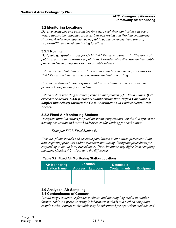## <span id="page-35-0"></span>**3.2 Monitoring Locations**

*Develop strategies and approaches for where real-time monitoring will occur. Where applicable, allocate resources between roving and fixed air monitoring stations. A reference map may be helpful to delineate roving team areas of responsibility and fixed monitoring locations.*

### **3.2.1 Roving**

*Designate geographic areas for CAM Field Teams to assess. Prioritize areas of public exposure and sensitive populations. Consider wind direction and available plume models to gauge the extent of possible release.*

*Establish consistent data acquisition practices and communicate procedures to Field Teams. Include instrument operation and data recording.*

*Consider instrumentation, logistics, and transportation resources as well as personnel composition for each team.* 

*Establish data reporting practices, criteria, and frequency for Field Teams. If an exceedance occurs, CAM personnel should ensure that Unified Command is notified immediately through the CAM Coordinator and Environmental Unit Leader.*

## **3.2.2 Fixed Air Monitoring Stations**

*Designate initial locations for fixed air monitoring stations; establish a systematic naming convention and record addresses and/or lat/long for each station.*

*Example: FS01, Fixed Station 01*

*Consider plume models and sensitive populations in air station placement. Plan data reporting practices and/or telemetry monitoring. Designate procedures for responding to action level exceedances. These locations may differ from sampling locations (Section 4.2); if so, note the difference.*

| <b>Air Monitoring</b><br><b>Station Name</b> | <b>Location</b><br>Address Lat./Long | <b>Detectable</b><br><b>Contaminants</b> | <b>Equipment</b> |
|----------------------------------------------|--------------------------------------|------------------------------------------|------------------|
|                                              |                                      |                                          |                  |
|                                              |                                      |                                          |                  |
|                                              |                                      |                                          |                  |

#### **Table 3.2: Fixed Air Monitoring Station Locations**

#### <span id="page-35-2"></span><span id="page-35-1"></span>**4.0 Analytical Air Sampling 4.1 Contaminants of Concern**

*List all target analytes, reference methods, and air sampling media in tabular format. Table 4.1 presents example laboratory methods and method compliant sample media. Entries to this table may be substituted for equivalent methods and*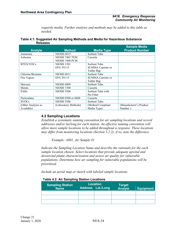*requisite media. Further analytes and methods may be added to this table as needed.*

| Table 4.1: Suggested Air Sampling Methods and Media for Hazardous Substance |  |
|-----------------------------------------------------------------------------|--|
| <b>Releases</b>                                                             |  |

|                    |                       |                          | <b>Sample Media</b>     |
|--------------------|-----------------------|--------------------------|-------------------------|
| <b>Analyte</b>     | <b>Method</b>         | <b>Media Type</b>        | <b>Product Number</b>   |
| Ammonia            | <b>NIOSH 6015</b>     | Sorbent Tube             |                         |
| Asbestos           | <b>NIOSH 7402 TEM</b> | Cassette                 |                         |
|                    | NIOSH 7400 PCM        |                          |                         |
| <b>BTEX/VOCs</b>   | <b>NIOSH 1501</b>     | Sorbent Tube             |                         |
|                    | EPA TO-15             | <b>SUMMA</b> Canister or |                         |
|                    |                       | Tedlar Bag               |                         |
| Chlorine/Bromine   | <b>NIOSH 6011</b>     | Sorbent Tube             |                         |
| Fire Vapors        | EPA TO-15             | <b>SUMMA</b> Canister or |                         |
|                    |                       | Tedlar Bag               |                         |
| Mercury            | <b>NIOSH 6009</b>     | Sorbent Tube             |                         |
| Metals             | <b>NIOSH 7300</b>     | Cassette                 |                         |
| <b>PAHs</b>        | <b>NIOSH 5506</b>     | Sorbent Tube with        |                         |
|                    |                       | Pre Filter               |                         |
| Particulates       | NIOSH 0500 or 0600    | Cassette                 |                         |
| <b>SVOCs</b>       | <b>NIOSH 5506</b>     | Sorbent Tube             |                         |
| (Other Analytes as | (Laboratory Methods)  | (Method Compliant        | (Manufacturer's Product |
| Available)         |                       | Media Type)              | Number)                 |

## <span id="page-36-0"></span>**4.2 Sampling Locations**

*Establish a systematic naming convention for air sampling locations and record addresses and/or lat/long for each station. An effective naming convention will allow more sample locations to be added throughout a response. These locations may differ from monitoring locations (Section 3.2.2); if so, note the difference.*

*Example: AS01, Air Sample 01*

*Indicate the Sampling Location Name and describe the rationale for the each sample location chosen. Select locations that provide adequate upwind and downwind plume characterization and assess air quality for vulnerable populations. Determine how air sampling for vulnerable populations will be prioritized.*

*Include an aerial map or sketch with labeled sample locations.*

| $1800 + 121$                           |  |                                             |                          |           |
|----------------------------------------|--|---------------------------------------------|--------------------------|-----------|
| <b>Sampling Station</b><br><b>Name</b> |  | <b>Location</b><br><b>Address Lat./Long</b> | <b>Target</b><br>Analyte | Equipment |
|                                        |  |                                             |                          |           |
|                                        |  |                                             |                          |           |
|                                        |  |                                             |                          |           |

#### **Table 4.2: Air Sampling Station Locations**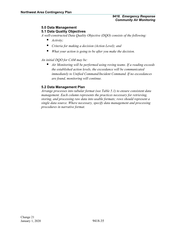#### <span id="page-37-1"></span><span id="page-37-0"></span>**5.0 Data Management 5.1 Data Quality Objectives**

*A well-constructed Data Quality Objective (DQO) consists of the following:*

- *Activity;*
- *Criteria for making a decision (Action Level); and*
- *What your action is going to be after you make the decision.*

*An initial DQO for CAM may be:*

 *Air Monitoring will be performed using roving teams. If a reading exceeds the established action levels, the exceedance will be communicated immediately to Unified Command/Incident Command. If no exceedances are found, monitoring will continue.*

## <span id="page-37-2"></span>**5.2 Data Management Plan**

*Arrange processes into tabular format (see Table 5.1) to ensure consistent data management. Each column represents the practices necessary for retrieving, storing, and processing raw data into usable formats; rows should represent a single data source. Where necessary, specify data management and processing procedures in narrative format.*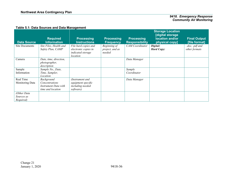## **Table 5.1: Data Sources and Data Management**

| <b>Data Source</b>                     | <b>Required</b><br><b>Information</b>                                     | <b>Processing</b><br><b>Instructions</b>                                      | <b>Processing</b><br><b>Frequency</b>     | <b>Processing</b><br><b>Responsibility</b> | <b>Storage Location</b><br>[digital storage<br>location and/or<br>physical copy] | <b>Final Output</b><br>[file format] |
|----------------------------------------|---------------------------------------------------------------------------|-------------------------------------------------------------------------------|-------------------------------------------|--------------------------------------------|----------------------------------------------------------------------------------|--------------------------------------|
| Site Documents                         | Site Files, Health and<br>Safety Plan, CAMP                               | File hard copies and<br>electronic copies in<br>indicated storage<br>location | Beginning of<br>project, and as<br>needed | <b>CAM</b> Coordinator                     | Digital:<br><b>Hard Copy:</b>                                                    | $doc, pdf$ and<br>other formats      |
| Camera                                 | Date, time, direction,<br>photographer,<br>description                    |                                                                               |                                           | Data Manager                               |                                                                                  |                                      |
| Sample<br>Information                  | Sample No., Date,<br>Time, Sampler,<br>Location                           |                                                                               |                                           | Sample<br>Coordinator                      |                                                                                  |                                      |
| Real Time<br>Monitoring Data           | Background<br>Concentrations<br>Instrument Data with<br>time and location | (Instrument and<br>equipment specific<br>including needed<br>software)        |                                           | Data Manager                               |                                                                                  |                                      |
| (Other Data<br>Sources as<br>Required) |                                                                           |                                                                               |                                           |                                            |                                                                                  |                                      |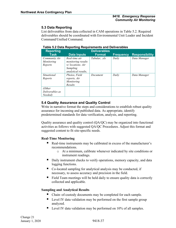## <span id="page-39-0"></span>**5.3 Data Reporting**

List deliverables from data collected in CAM operations in Table 5.2. Required deliverables should be coordinated with Environmental Unit Leader and Incident Command/Unified Command.

| <b>Reporting</b>                       |                                                                                                   | <b>Deliverables</b> |                  |                       |
|----------------------------------------|---------------------------------------------------------------------------------------------------|---------------------|------------------|-----------------------|
| Task                                   | <b>Data Inputs</b>                                                                                | <b>Format</b>       | <b>Frequency</b> | <b>Responsibility</b> |
| Community Air<br>Monitoring<br>Reports | Real-time air<br><i>monitoring results</i><br>w/locations. Air<br>Sampling<br>analytical results, | Tabular, xls        | Daily            | Data Manager          |
| Situational<br>Reports                 | Photos, Field<br>reports, Air<br>Monitoring<br>Results                                            | Document            | Daily            | Data Manager          |
| (Other<br>Deliverables as<br>Needed)   |                                                                                                   |                     |                  |                       |

## **Table 5.2 Data Reporting Requirements and Deliverables**

## <span id="page-39-1"></span>**5.4 Quality Assurance and Quality Control**

Write in narrative format the steps and considerations to establish robust quality assurance for incoming and published data. As appropriate, identify predetermined standards for data verification, analysis, and reporting.

Quality assurance and quality control (QA/QC) may be organized into functional activities as follows with suggested QA/QC Procedures. Adjust this format and suggested content to fit site-specific needs.

## **Real-Time Monitoring**

- Real-time instruments may be calibrated in excess of the manufacturer's recommendations.
	- o At a minimum, calibrate whenever indicated by site conditions or instrument readings.
- Daily instrument checks to verify operations, memory capacity, and data logging functions.
- Co-located sampling for analytical analysis may be conducted, if necessary, to assess accuracy and precision in the field.
- Field Team meetings will be held daily to ensure quality data is correctly collected and applicable.

## **Sampling and Analytical Results**

- Chain–of-custody documents may be completed for each sample.
- **Level IV** data validation may be performed on the first sample group analyzed.
- Level IV data validation may be performed on 10% of all samples.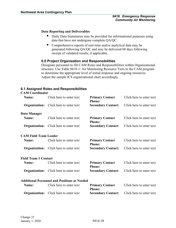## **Data Reporting and Deliverables**

- Daily Data Summaries may be provided for informational purposes using data that have not undergone complete QA/QC.
- Comprehensive reports of real-time and/or analytical data may be generated following QA/QC and may be delivered 60 days following receipt of validated results, if applicable.

## <span id="page-40-0"></span>**6.0 Project Organization and Responsibilities**

Designate personnel to fill CAM Roles and Responsibilities within Organizational structure. Use Table 9418-1: Air Monitoring Resource Tiers in the CAM program to determine the appropriate level of initial response and ongoing resources. Adjust the sample ICS organizational chart accordingly.

## <span id="page-40-1"></span>**6.1 Assigned Roles and Responsibilities**

| <b>CAM Coordinator</b>       |                                                     |                                         |                          |
|------------------------------|-----------------------------------------------------|-----------------------------------------|--------------------------|
| Name:                        | Click here to enter text                            | <b>Primary Contact</b><br><b>Phone:</b> | Click here to enter text |
|                              | <b>Organization:</b> Click here to enter text       | <b>Secondary Contact:</b>               | Click here to enter text |
| Data Manager                 |                                                     |                                         |                          |
| Name:                        | Click here to enter text                            | <b>Primary Contact</b><br><b>Phone:</b> | Click here to enter text |
|                              | <b>Organization:</b> Click here to enter text       | <b>Secondary Contact:</b>               | Click here to enter text |
| <b>CAM Field Team Leader</b> |                                                     |                                         |                          |
| Name:                        | Click here to enter text                            | <b>Primary Contact</b><br><b>Phone:</b> | Click here to enter text |
|                              | <b>Organization:</b> Click here to enter text       | <b>Secondary Contact:</b>               | Click here to enter text |
| <b>Field Team 1 Contact</b>  |                                                     |                                         |                          |
| Name:                        | Click here to enter text                            | <b>Primary Contact</b><br><b>Phone:</b> | Click here to enter text |
|                              | <b>Organization:</b> Click here to enter text       | <b>Secondary Contact:</b>               | Click here to enter text |
|                              | <b>Additional Personnel and Positions as Needed</b> |                                         |                          |
| Name:                        | Click here to enter text                            | <b>Primary Contact</b><br><b>Phone:</b> | Click here to enter text |
|                              | <b>Organization:</b> Click here to enter text       | <b>Secondary Contact:</b>               | Click here to enter text |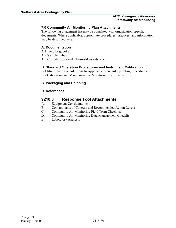## <span id="page-41-0"></span>**7.0 Community Air Monitoring Plan Attachments**

The following attachment list may be populated with organization-specific documents. Where applicable, appropriate procedures, practices, and information may be described here.

## <span id="page-41-1"></span>**A. Documentation**

- A.1 Field Logbooks
- A.2 Sample Labels
- A.3 Custody Seals and Chain-of-Custody Record

## <span id="page-41-2"></span>**B. Standard Operation Procedures and Instrument Calibration**

B.1 Modification or Additions to Applicable Standard Operating Procedures

B.2 Calibration and Maintenance of Monitoring Instruments

## <span id="page-41-3"></span>**C. Packaging and Shipping**

## <span id="page-41-4"></span>**D. References**

## <span id="page-41-5"></span>**9210.8 Response Tool Attachments**

- A. Equipment Considerations
- B. Contaminants of Concern and Recommended Action Levels
- C. Community Air Monitoring Field Team Checklist
- D. Community Air Monitoring Data Management Checklist
- E. Laboratory Analysis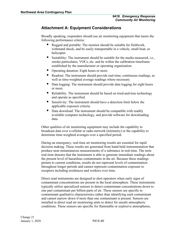## <span id="page-42-0"></span>**Attachment A: Equipment Considerations**

Broadly speaking, responders should use air monitoring equipment that meets the following performance criteria:

- Rugged and portable: The monitor should be suitable for fieldwork, withstand shock, and be easily transportable in a vehicle, small boat, or helicopter.
- Suitability: The instrument should be suitable for the media measured, i.e., smoke particulates, VOCs, etc. and be within the calibration timeframe established by the manufacturer or operating organization.
- Operating duration: Eight hours or more.
- Readout: The instrument should provide real-time, continuous readings, as well as time-weighted average readings where necessary.
- Data logging: The instrument should provide data logging for eight hours or more.
- Reliability: The instrument should be based on tried-and-true technology and operate as specified.
- Sensitivity: The instrument should have a detection limit below the applicable exposure criteria.
- Data download: The instrument should be compatible with readily available computer technology, and provide software for downloading data.

Other qualities of air monitoring equipment may include the capability to broadcast data over a cellular or radio network (telemetry) or the capability to determine time-weighted averages over a specified period.

During an emergency, real-time air monitoring results are essential for rapid decision making. These results are generated from hand-held instrumentation that produce near-instantaneous measurements of a substance in real-time. The term real-time denotes that the instrument is able to generate immediate readings about the present level of hazardous contaminants in the air. Because these readings pertain to current conditions, results do not represent levels of contamination throughout longer periods and cannot represent contamination exposure to receptors including residences and workers over time.

Direct read instruments are designed to alert operators when early signs of contaminant concentrations are present in the local atmosphere. These instruments typically utilize specialized sensors to detect contaminant concentrations down to one part contaminant per billion parts of air. These sensors are specific to contaminant qualitative characteristics rather than identifying each contaminant and cannot narrow down if more than one contaminant is present. Sensors are installed in direct read air monitoring units to detect for unsafe atmospheric conditions. These sensors are specific for flammable or explosive atmospheres,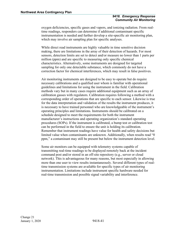oxygen deficiencies, specific gases and vapors, and ionizing radiation. From realtime readings, responders can determine if additional contaminant specific instrumentation is needed and further develop a site-specific air monitoring plan, which may involve air sampling plan for specific analyses.

While direct read instruments are highly valuable in time sensitive decision making, there are limitations in the array of their detection of hazards. For most sensors, detection limits are set to detect and/or measure no lower than 1 parts per million (ppm) and are specific to measuring only specific chemical characteristics. Alternatively, some instruments are designed for targeted sampling for only one detectable substance, which commonly do not have a correction factor for chemical interferences, which may result in false positives.

Air monitoring instruments are designed to be easy to operate but do require necessary calibrations and a qualified user whom is familiar with operational guidelines and limitations for using the instrument in the field. Calibration methods vary but in many cases require additional equipment such as an array of calibration gasses with regulators. Calibration requires following a method with a corresponding order of operations that are specific to each sensor. Likewise is true for the data interpretation and validation of the results the instrument produces, it is necessary to have trained personnel who are knowledgeable of the instrument's operating principles and limitations. Instruments should be calibrated on a schedule designed to meet the requirements for both the instrument manufacturer's instructions and operating organization's standard operating procedures (SOPs). If the instrument is calibrated, a bump test or calibration test can be performed in the field to ensure the unit is holding its calibration. Remember that instrument readings have value for health and safety decisions but limited value when contaminants are unknown. Additionally, when results read "0 ppm," a contaminant may still be present but below the instrument detection level.

Some air monitors can be equipped with telemetry systems capable of transmitting real-time readings to be displayed remotely back at the incident command post and/or stored in an off-site repository (e.g., server or cloud network). This is advantageous for many reasons, but most especially in allowing more than one user to view results instantaneously. Several different types of realtime transmission systems are available for specific types of air monitoring instrumentation. Limitations include instrument specific hardware needed for real-time transmission and possible signal variability and interference.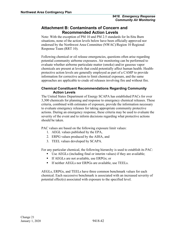## <span id="page-44-0"></span>**Attachment B: Contaminants of Concern and Recommended Action Levels**

Note: With the exception of PM 10 and PM 2.5 standards for In-Situ Burn situations, none of the action levels below have been officially approved nor endorsed by the Northwest Area Committee (NWAC)/Region 10 Regional Response Team (RRT 10).

Following chemical or oil release emergencies, questions often arise regarding potential community airborne exposures. Air monitoring can be performed to evaluate whether airborne particulate matter (smoke) and/or gaseous vapor chemicals are present at levels that could potentially affect human health. Healthprotective action levels are generally employed as part of a CAMP to provide information for corrective action to limit chemical exposure, and the same approaches are applicable to crude oil releases involving fire and without fire.

## <span id="page-44-1"></span>**Chemical Constituent Recommendations Regarding Community Action Levels**

The United States Department of Energy SCAPA has established PACs for over 3,300 chemicals for planning and response to emergency chemical releases. These criteria, combined with estimates of exposure, provide the information necessary to evaluate emergency releases for taking appropriate community protective actions. During an emergency response, these criteria may be used to evaluate the severity of the event and to inform decisions regarding what protective actions should be taken.

PAC values are based on the following exposure limit values:

- 1. AEGL values published by the EPA,
- 2. ERPG values produced by the AIHA, and
- 3. TEEL values developed by SCAPA.

For any particular chemical, the following hierarchy is used to establish its PAC:

- Use AEGLs (including final or interim values) if they are available;
- If AEGLs are not available, use ERPGs; or
- **If neither AEGLs nor ERPGs are available, use TEELs.**

AEGLs, ERPGs, and TEELs have three common benchmark values for each chemical. Each successive benchmark is associated with an increased severity of potential effect(s) associated with exposure to the specified level.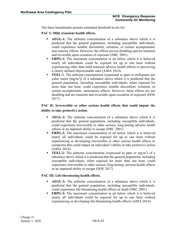The three benchmarks present estimated threshold levels for:

**PAC I: Mild, transient health effects.**

- **AEGL-1:** The airborne concentration of a substance above which it is predicted that the general population, including susceptible individuals, could experience notable discomfort, irritation, or certain asymptomatic non-sensory effects. However, the effects are not disabling and are transient and reversible upon cessation of exposure (NRC 2001).
- **ERPG-1:** The maximum concentration in air below which it is believed nearly all individuals could be exposed for up to one hour without experiencing other than mild transient adverse health effects or perceiving a clearly defined objectionable odor (AIHA 2014).
- **TEEL-1**: The airborne concentration (expressed as ppm or milligrams per cubic meter  $[mg/m<sup>3</sup>]$  of a substance above which it is predicted that the general population, including susceptible individuals, when exposed for more than one hour, could experience notable discomfort, irritation, or certain asymptomatic, nonsensory effects. However, these effects are not disabling and are transient and reversible upon cessation of exposure (DOE 2017)

## **PAC II: Irreversible or other serious health effects that could impair the ability to take protective action**.

- **AEGL-2:** The airborne concentration of a substance above which it is predicted that the general population, including susceptible individuals, could experience irreversible or other serious, long-lasting adverse health effects or an impaired ability to escape (NRC 2001).
- **ERPG-2:** The maximum concentration in air below which it is believed nearly all individuals could be exposed for up to one hour without experiencing or developing irreversible or other serious health effects or symptoms that could impair an individual's ability to take protective action (AIHA 2014).
- **TEEL-2:** The airborne concentration (expressed as ppm or mg/m<sup>3</sup>) of a substance above which it is predicted that the general population, including susceptible individuals, when exposed for more than one hour, could experience irreversible or other serious, long-lasting, adverse health effects or an impaired ability to escape (DOE 2017)

## **PAC III: Life-threatening health effects.**

- **AEGL-3:** The airborne concentration of a substance above which it is predicted that the general population, including susceptible individuals, could experience life-threatening health effects or death (NRC 2001).
- **ERPG-3:** The maximum concentration in air below which it is believed nearly all individuals could be exposed for up to one hour without experiencing or developing life-threatening health effects (AIHA 2014).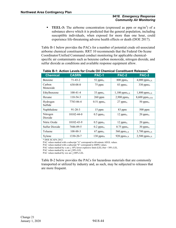**TEEL-3:** The airborne concentration (expressed as ppm or mg/m<sup>3</sup>) of a substance above which it is predicted that the general population, including susceptible individuals, when exposed for more than one hour, could experience life-threatening adverse health effects or death (DOE 2017).

Table B-1 below provides the PACs for a number of potential crude oil-associated airborne chemical constituents. RRT 10 recommends that the Federal On-Scene Coordinator/Unified Command conduct monitoring for applicable chemicalspecific air contaminants such as benzene carbon monoxide, nitrogen dioxide, and sulfur dioxide as conditions and available response equipment allow.

| <b>Chemical</b>     | <b>CASRN</b>     | PAC-1                   | <b>PAC-2</b>               | PAC-3                      |
|---------------------|------------------|-------------------------|----------------------------|----------------------------|
| Benzene             | $71 - 43 - 2$    | 52 pp $m_A$             | $800$ ppm <sub>A</sub>     | 4,000 $ppm_{A,X}$          |
| Carbon<br>Monoxide  | 630-08-0         | 75 ppm                  | 83 ppm <sub>A</sub>        | 330 $ppm_A$                |
| Ethylbenzene        | $100-41-4$       | 33 ppm <sub>A</sub>     | $1,100$ ppm <sub>A,X</sub> | $1,800$ ppm <sub>A,X</sub> |
| Hexane              | $110-54-3$       | 260 ppm                 | $2,900$ ppm $x$            | $8,600$ ppm $_{A,XX}$      |
| Hydrogen<br>Sulfide | 7783-06-4        | $0.51$ ppm <sub>A</sub> | $27$ ppm <sub>A</sub>      | $50$ ppm <sub>A</sub>      |
| Naphthalene         | $91 - 20 - 3$    | 15 ppm                  | 83 ppm                     | $500$ ppm                  |
| Nitrogen<br>Dioxide | $10102 - 44 - 0$ | $0.5$ ppm <sub>A</sub>  | $12$ ppm <sub>A</sub>      | $20$ ppm <sub>A</sub>      |
| Nitric Oxide        | 10102-43-9       | $0.5$ ppm <sub>A</sub>  | $12$ ppm <sub>A</sub>      | $20$ ppm $_A$              |
| Sulfur Dioxide      | 7446-09-5        | $0.2~\text{ppm}_A$      | $0.75$ ppm <sub>A</sub>    | $30$ ppm $_A$              |
| Toluene             | 108-88-3         | $67$ ppm <sub>A</sub>   | 560 pp $m_{A,X}$           | 3,700 $ppm_{A,X}$          |
| Xylene              | 1330-20-7        | $130$ ppm $_A$          | 920 pp $m_{A,X}$           | $2,500$ ppm $_{A,X}$       |

#### **Table B-1: Action Levels for Crude Oil Chemical Constituent Releases\***

\* DOE SCAPA 2012

PAC values marked with a subscript "A" correspond to 60-minute AEGL values.

PAC values marked with a subscript "E" correspond to ERPG values.

PAC values marked by x are  $\geq 10\%$  lower explosive limit (LEL) but < 50% LEL.

PAC values marked by xx are  $\geq$ 50% LEL

PAC values marked by xxx are >100% LEL

Table B-2 below provides the PACs for hazardous materials that are commonly transported or utilized by industry and, as such, may be subjected to releases that are more frequent.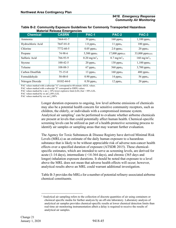| <b>Chemical</b>   | <b>CASRN</b>     | <b>PAC-1</b>                       | PAC-2                             | <b>PAC-3</b>                      |
|-------------------|------------------|------------------------------------|-----------------------------------|-----------------------------------|
| Ammonia           | 7664-41-7        | $30$ ppm <sub>A</sub>              | $160$ ppm <sub>A</sub>            | $1,100$ ppm <sub>A</sub>          |
| Hydrochloric Acid | $7647 - 01 - 0$  | $1.8~\text{ppm}_A$                 | 11 $ppm_A$                        | $100$ ppm <sub>A</sub>            |
| Chlorine          | 7772-60-5        | $0.05$ ppm <sub>A</sub>            | $2.0~\text{ppm}_A$                | $20$ ppm <sub>A</sub>             |
| Propane           | 74-98-6          | 5,500 ppmx                         | $17,000$ ppm $xx$                 | 33,000 ppmxxx                     |
| Sulfuric Acid     | 766-93-9         | $0.20 \text{ mg/m}^3$ <sub>A</sub> | $8.7 \text{ mg/m}^3$ <sub>A</sub> | $160 \text{ mg/m}^3$ <sub>A</sub> |
| Styrene           | $100-42-5$       | $20$ ppm <sub>A</sub>              | 130 pp $m_A$                      | $1,100$ ppm $x$                   |
| Toluene           | 108-88-3         | $67$ ppm <sub>A</sub>              | 560 pp $m_A$                      | $3,700$ ppm $x$                   |
| Carbon Disulfide  | $75 - 15 - 0$    | 13 pp $m_A$                        | $160$ ppm <sub>A</sub>            | $480$ ppm <sub>A</sub>            |
| Formaldehyde      | $50-00-0$        | $0.90$ ppm <sub>A</sub>            | 14 pp $m_A$                       | 56 pp $m_A$                       |
| Nitrogen Dioxide  | $10102 - 44 - 0$ | $0.50$ ppm <sub>A</sub>            | $12~\text{ppm}_A$                 | $20$ ppm <sub>A</sub>             |

#### **Table B-2: Community Exposure Guidelines for Commonly Transported Hazardous Material Release Emergencies**

PAC values marked with a subscript "A" correspond to 60-minute AEGL values.

PAC values marked with a subscript "E" correspond to ERPG values.

PAC values marked by x are  $\geq 10\%$  lower explosive limit (LEL) but < 50% LEL.

PAC values marked by xx are  $\geq$ 50% LEL

PAC values marked by xxx are  $\geq$ 100%

Longer duration exposures to ongoing, low level airborne emissions of chemicals may also be a potential health concern for sensitive community receptors, such as children, the elderly, or individuals with a compromised immune system. Analytical air sampling<sup>[1](#page-47-0)</sup> can be performed to evaluate whether airborne chemicals are present at levels that could potentially affect human health. Chemical-specific screening levels can be utilized as part of a health-protective screening process to identify air samples or sampling areas that may warrant further evaluation.

The Agency for Toxic Substances & Disease Registry have derived Minimal Risk Levels (MRLs) as an estimate of the daily human exposure to a hazardous substance that is likely to be without appreciable risk of adverse non-cancer health effects over a specified duration of exposure (ATSDR 2015). These chemicalspecific estimates, which are intended to serve as screening levels, are derived for acute (1-14 days), intermediate (>14-364 days), and chronic (365 days and longer) inhalation exposure durations. It should be noted that exposure to a level above the MRL does not mean that adverse health effects will occur; however, analytical results above an MRL could warrant additional investigation.

Table B-3 provides the MRLs for a number of potential refinery-associated airborne chemical constituents.

<span id="page-47-0"></span> $<sup>1</sup>$  Analytical air sampling refers to the collection of discrete quantities of air using containers or</sup> chemical specific media for further analysis by an off-site laboratory. Laboratory analysis of analytical air samples provides chemical-specific results at lower chemical detection limits than real-time air monitoring instrumentation albeit a delay is required to receive the results of analytical air samples.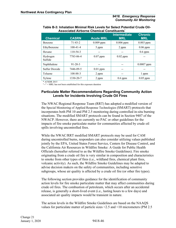| <b>Chemical</b>     | <b>CASRN</b>   | <b>Acute MRL</b> | <b>Intermediate</b><br><b>MRL</b> | <b>Chronic</b><br><b>MRL</b> |
|---------------------|----------------|------------------|-----------------------------------|------------------------------|
| <b>Benzene</b>      | $71 - 43 - 2$  | $0.009$ ppm      | $0.006$ ppm                       | $0.003$ ppm                  |
| Ethylbenzene        | $100 - 41 - 4$ | 5 ppm            | 2 ppm                             | $0.06$ ppm                   |
| Hexane              | $110 - 54 - 3$ |                  |                                   | $0.6$ ppm                    |
| Hydrogen<br>Sulfide | 7783-06-4      | $0.07$ ppm       | $0.02$ ppm                        |                              |
| Naphthalene         | $91 - 20 - 3$  |                  |                                   | $0.0007$ ppm                 |
| Sulfur Dioxide      | 7446-09-5      | $0.01$ ppm       |                                   |                              |
| Toluene             | 108-88-3       | 2 ppm            |                                   | l ppm                        |
| Xylene              | 1330-20-7      | 2 ppm            | $0.6$ ppm                         | $0.05$ ppm                   |

#### **Table B-3: Inhalation Minimal Risk Levels for Select Potential Crude Oil-Associated Airborne Chemical Constituents\***

\* ATSDR 2015

"--" = MRL has not been established for this exposure duration

## <span id="page-48-0"></span>**Particulate Matter Recommendations Regarding Community Action Levels for Incidents Involving Crude Oil Fires**

The NWAC/Regional Response Team (RRT) has adopted a modified version of the Special Monitoring of Applied Response Technologies (SMART) protocols that incorporates both PM 10 and PM 2.5 monitoring during controlled in-situ burning situations. The modified SMART protocols can be found in Section 9407 of the NWACP. However, there are currently no PAC or other guidelines for the impacts of fire smoke particulate matter for communities affected by crude oil spills involving uncontrolled fires.

While the NWAC/RRT modified SMART protocols may be used for CAM during uncontrolled burns, responders can also consider utilizing values published jointly by the EPA, United States Forest Service, Centers for Disease Control, and the California Air Resources in Wildfire Smoke: A Guide for Public Health Officials (hereafter referred to as the Wildfire Smoke Guidelines). Fire smoke originating from a crude oil fire is very similar in composition and characteristics to smoke from other types of fires (i.e., wildland fires, chemical plant fires, volcanic activity). As such, the Wildfire Smoke Guidelines may be adapted to advise decision makers on the safety of communities, including sensitive subgroups, whose air quality is affected by a crude oil fire (or other fire types).

The following section provides guidance for the identification of community action levels for fire smoke particulate matter that may affect communities during crude oil fires. The combustion of petroleum, which occurs after an accidental release, is generally a short-lived event (i.e., lasting hours to a few days) and associated air quality impacts would be transient in nature.

The action levels in the Wildfire Smoke Guidelines are based on the NAAQS values for particulate matter of particle sizes <2.5 and <10 micrometers (PM 2.5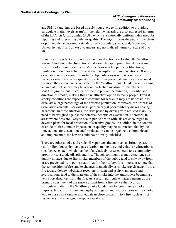and PM 10) and thus are based on a 24 hour average. In addition to providing particulate matter levels as  $\mu g/m^3$ , the relative hazards are also expressed in terms of the EPA Air Quality Index (AQI), which is a nationally uniform index used for reporting and forecasting daily air quality. The AQI informs the public how clean or polluted the air is using a standardized vocabulary (i.e., Good, Moderate, Unhealthy, etc.,) and an easy-to-understand normalized numerical scale of 0 to 500.

Equally as important as providing a numerical action level value, the Wildfire Smoke Guidelines also list actions that would be appropriate based on varying severities of air quality impacts. Most actions involve public notifications, limitation of outdoor activities, and shelter-in-place recommendations. Of note, evacuation or relocation of sensitive subpopulations is only recommended in instances where severe air quality impacts from particulate matter are sustained for more than a few hours. As stated in the Wildfire Smoke Guidelines: "Leaving an area of thick smoke may be a good protective measure for members of sensitive groups, but it is often difficult to predict the duration, intensity, and direction of smoke, making this an unattractive option to many people. Even if smoky conditions are expected to continue for weeks, it may not be feasible to evacuate a large percentage of the affected population. Moreover, the process of evacuation can entail serious risks, particularly if poor visibility makes driving hazardous. In these situations, the risks posed by driving with reduced visibility need to be weighed against the potential benefits of evacuation. Therefore, in areas where fires are likely to occur, public health officials are encouraged to develop plans for local protection of sensitive groups. In addition, in the context of crude oil fires, smoke impacts on air quality may be so transient that by the time actions for evacuation and/or relocation can be organized, communicated and implemented, the hazard could have already subsided.

There are other smoke and crude oil vapor constituents such as irritant gases (sulfur dioxide), asphyxiant gases (carbon monoxide), and volatile hydrocarbons (i.e., benzene, etc.) which may be of a relatively lesser concern to a community in proximity to a crude oil spill and fire. Though communities may experience air quality impacts due to fire smoke, members of the public tend to stay away from, or are prevented from going near, fires for their safety. It is important to note that the composition of fire smoke changes dramatically as smoke travels away from a fire toward downwind/distant receptors. Irritant and asphyxiant gases and hydrocarbons tend to dissipate out of the smoke into the atmosphere beginning at very short distances from the fire. As a result, particulate matter remains as the primary constituent of the smoke distant from a fire, hence the focus on particulate matter in the Wildfire Smoke Guidelines for community smoke impacts. Impacts of irritant and asphyxiant gases and hydrocarbons in fire smoke tend to pose a risk only to individuals in close proximity to a fire, such as first responders and emergency response workers.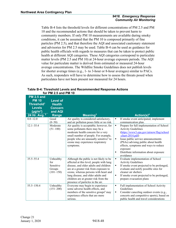Table B-4 lists the threshold levels for different concentrations of PM 2.5 and PM 10 and the recommended actions that should be taken to prevent harm to community members. If only PM 10 measurements are available during smoky conditions, it can be assumed that the PM 10 is composed primarily of fine particles (PM 2.5), and that therefore the AQI and associated cautionary statement and advisories for PM 2.5 may be used. Table B-4 can be used as guidance for public health officials with regards to measures that can be taken to protect public health at different AQI categories. These AQI categories correspond to particulate matter levels (PM 2.5 and PM 10) at 24-hour average exposure periods. The AQI value for particulate matter is derived from estimated or measured 24-hour average concentrations. The Wildfire Smoke Guidelines does not publish levels for shorter average times (e.g., 1- to 3-hour or 8-hour averages) similar to PACs. As such, responders will have to determine how to assess the threats posed when particulates have not been present nor measured for 24 hours.

#### **Table B-4: Threshold Levels and Recommended Response Actions for PM 2.5 and PM 10**

|                                                                                                                           | ו וויז אוווס ט⊾⊾וויו וטו                                               |                                                                                                                                                                                                                                                                                                                                      |                          |                                                                                                                                                                                                                                                                                                                                 |
|---------------------------------------------------------------------------------------------------------------------------|------------------------------------------------------------------------|--------------------------------------------------------------------------------------------------------------------------------------------------------------------------------------------------------------------------------------------------------------------------------------------------------------------------------------|--------------------------|---------------------------------------------------------------------------------------------------------------------------------------------------------------------------------------------------------------------------------------------------------------------------------------------------------------------------------|
| <b>PM 2.5 and</b><br><b>PM 10</b><br>Threshold <sup>1</sup><br><b>Levels</b><br>$\overline{(\mu g/m^3)}$<br>24 Hr. Avg. 2 | <b>Level of</b><br><b>Health</b><br><b>Concern</b><br>and AQI<br>Range | Meaning <sup>3</sup>                                                                                                                                                                                                                                                                                                                 |                          | Action(s) <sup>4</sup>                                                                                                                                                                                                                                                                                                          |
| $0.0 - 12.0$                                                                                                              | Good<br>$(0 - 50)$                                                     | Air quality is considered satisfactory,<br>and air pollution poses little or no risk.                                                                                                                                                                                                                                                | $\blacksquare$           | If smoke event anticipated, implement<br>communication plan.                                                                                                                                                                                                                                                                    |
| $12.1 - 35.4$                                                                                                             | Moderate<br>$(51-100)$                                                 | Air quality is acceptable; however, for<br>some pollutants there may be a<br>moderate health concern for a very<br>small number of people. For example,<br>people who are unusually sensitive <sup>5</sup> to<br>ozone may experience respiratory<br>symptoms.                                                                       | $\blacksquare$<br>٠<br>Ξ | Prepare for full implementation of School<br><b>Activity Guidelines</b><br>(https://www3.epa.gov/airnow/flag/school<br>$-chart-2014.pdf$<br>Issue public service announcements<br>(PSAs) advising public about health<br>effects, symptoms and ways to reduce<br>exposure<br>Distribute information about exposure<br>avoidance |
| $35.5 - 55.4$                                                                                                             | Unhealthy<br>for<br>Sensitive<br>Groups<br>$(101-150)$                 | Although the public is not likely to be<br>affected at this level, people with lung<br>disease, and older adults and children<br>are at a greater risk from exposure to<br>ozone, whereas persons with heart and<br>lung disease, and older adults and<br>children are at greater risk from the<br>presence of particles in the air. | ٠<br>٠<br>٠              | Evaluate implementation of School<br><b>Activity Guidelines</b><br>If smoke event projected to be prolonged,<br>evaluate and notify possible sites for<br>cleaner air shelters<br>If smoke event projected to be prolonged,<br>prepare evacuation plans                                                                         |
| $55.5 - 150.4$                                                                                                            | Unhealthy<br>$(151 - 200)$                                             | Everyone may begin to experience<br>some adverse health effects, and<br>members of the sensitive groups <sup>6</sup> may<br>experience effects that are more<br>serious.                                                                                                                                                             | $\blacksquare$<br>٠      | Full implementation of School Activity<br>Guidelines<br>Consider canceling outdoor events (e.g.,<br>concerts and competitive sports), based on<br>public health and travel considerations                                                                                                                                       |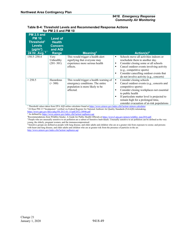| <b>PM 2.5 and</b><br><b>PM 10</b><br>Threshold <sup>1</sup><br><b>Levels</b><br>$(\mu g/m^3)$<br>24 Hr. Avg. 2 | <b>Level of</b><br><b>Health</b><br><b>Concern</b><br>and AQI<br>Range | Meaning $3$                                                                                                                | Action(s) <sup>4</sup>                                                                                                                                                                                                                                                                                              |
|----------------------------------------------------------------------------------------------------------------|------------------------------------------------------------------------|----------------------------------------------------------------------------------------------------------------------------|---------------------------------------------------------------------------------------------------------------------------------------------------------------------------------------------------------------------------------------------------------------------------------------------------------------------|
| 150.5-250.4                                                                                                    | Very<br>Unhealthy<br>$(201 - 301)$                                     | This would trigger a health alert<br>signifying that everyone may<br>experience more serious health<br>effects.            | Schools move all activities indoors or<br>٠<br>reschedule them to another day.<br>Consider closing some or all schools<br>٠<br>Cancel outdoor events involving activity<br>٠<br>(e.g., competitive sports)<br>Consider cancelling outdoor events that<br>٠<br>do not involve activity (e.g., concerts)              |
| > 250.5                                                                                                        | Hazardous<br>(>300)                                                    | This would trigger a health warning of<br>emergency conditions. The entire<br>population is more likely to be<br>affected. | Consider closing schools<br>٠<br>Cancel outdoor events (e.g., concerts and<br>٠<br>competitive sports)<br>Consider closing workplaces not essential<br>٠<br>to public health<br>If particulate matter level is projected to<br>٠<br>remain high for a prolonged time,<br>consider evacuation of at-risk populations |

#### **Table B-4: Threshold Levels and Recommended Response Actions for PM 2.5 and PM 10**

<sup>1</sup> Threshold values taken from EPA AQI online calculator found a[t https://www.airnow.gov/index.cfm?action=airnow.calculator](https://www.airnow.gov/index.cfm?action=airnow.calculator) <sup>2</sup> 24 Hour PM 2.5 "breakpoints" verified via Federal Register for National Ambient Air Quality Standards (NAAQS) rulemaking, <https://www.gpo.gov/fdsys/pkg/FR-2013-01-15/pdf/2012-30946.pdf>

<sup>3</sup> As defined by <u>https://www.airnow.gov/index.cfm?action=aqibasics.aqi</u><br>"Recommendations from Wildfire Smoke: A Guide for Public Health Officials at <u>https://www3.epa.gov/airnow/wildfire\_may2016.pdf</u>.

<sup>5</sup> People who are unusually sensitive to air pollution are a subset of Sensitive Individuals. Unusually sensitive to air pollution can be defined as the very young, the elderly, pregnant women, and the immunocompromised.

<sup>6</sup> Sensitive groups are defined as people with lung disease, and older adults and children who are at a greater risk from exposure to ozone; and persons with heart and lung disease, and older adults and children who are at greater risk from the presence of particles in the air. <http://www.airnow.gov/index.cfm?action=aqibasics.aqi>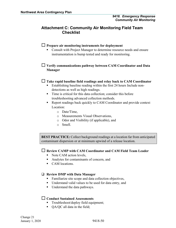## <span id="page-52-0"></span>**Attachment C: Community Air Monitoring Field Team Checklist**

## **Prepare air monitoring instruments for deployment**

■ Consult with Project Manager to determine resource needs and ensure instrumentation is bump tested and ready for monitoring.

## **Verify communications pathway between CAM Coordinator and Data Manager**

## **Take rapid baseline field readings and relay back to CAM Coordinator**

- Establishing baseline reading within the first 24 hours Include nondetections as well as high readings.
- Time is critical for this data collection; consider this before troubleshooting advanced collection methods.
- Report readings back quickly to CAM Coordinator and provide context Location:
	- o Date/Time,
	- o Measurements Visual Observations,
	- o Odor and Visibility (if applicable), and
	- o Smell.

**BEST PRACTICE***:* Collect background readings at a location far from anticipated contaminant dispersion or at minimum upwind of a release location.

## **Review CAMP with CAM Coordinator and CAM Field Team Leader**

- Note CAM action levels,
- Analytes for contaminants of concern, and
- CAM locations.

## **Review DMP with Data Manager**

- **Familiarize site scope and data collection objectives,**
- Understand valid values to be used for data entry, and
- Understand the data pathways.

## **Conduct Sustained Assessments**

- **Troubleshoot/deploy field equipment;**
- OA/OC all data in the field;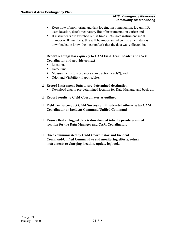- Keep note of monitoring and data logging instrumentation: log unit ID, user, location, date/time; battery life of instrumentation varies; and
- If instruments are switched out, if time allots, note instrument serial number or ID numbers, this will be important when instrument data is downloaded to know the location/task that the data was collected in.

 **Report readings back quickly to CAM Field Team Leader and CAM Coordinator and provide context** 

- Location.
- Date/Time.
- Measurements (exceedances above action levels?), and
- Odor and Visibility (if applicable).

## **Record Instrument Data to pre-determined destination**

- **Download data in pre-determined location for Data Manager and back-up.**
- **Report results to CAM Coordinator as outlined**
- **Field Teams conduct CAM Surveys until instructed otherwise by CAM Coordinator or Incident Command/Unified Command**
- **Ensure that all logged data is downloaded into the pre-determined location for the Data Manager and CAM Coordinator.**
- **Once communicated by CAM Coordinator and Incident Command/Unified Command to end monitoring efforts, return instruments to charging location, update logbook.**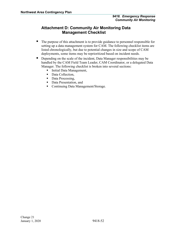## <span id="page-54-0"></span>**Attachment D: Community Air Monitoring Data Management Checklist**

- The purpose of this attachment is to provide guidance to personnel responsible for setting up a data management system for CAM. The following checklist items are listed chronologically, but due to potential changes in size and scope of CAM deployments, some items may be reprioritized based on incident needs.
- Depending on the scale of the incident, Data Manager responsibilities may be handled by the CAM Field Team Leader, CAM Coordinator, or a delegated Data Manager. The following checklist is broken into several sections:
	- **Initial Data Management,**
	- Data Collection,
	- Data Processing,
	- Data Presentation, and
	- Continuing Data Management/Storage.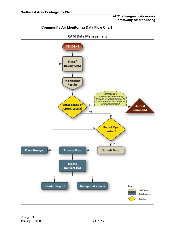## <span id="page-55-0"></span>**Community Air Monitoring Data Flow Chart**



## **CAM Data Management**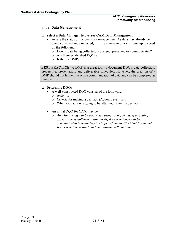## <span id="page-56-0"></span>**Initial Data Management**

- **Select a Data Manager to oversee CAM Data Management**
	- Assess the status of incident data management. As data may already be being collected and processed, it is imperative to quickly come up to speed on the following:
		- o How is data being collected, processed, presented or communicated?
		- o Are there established DQOs?
		- o Is there a DMP?

**BEST PRACTICE:** A DMP is a great tool to document DQOs, data collection, processing, presentation, and deliverable schedules. However, the creation of a DMP should not hinder the active communication of data and can be completed as time permits.

## **Determine DQOs**

- A well-constructed DQO consists of the following:
	- o Activity,
	- o Criteria for making a decision (Action Level), and
	- o What your action is going to be after you make the decision.
- An initial DQO for CAM may be:
	- o *Air Monitoring will be performed using roving teams. If a reading exceeds the established action levels, the exceedance will be communicated immediately to Unified Command/Incident Command. If no exceedances are found, monitoring will continue.*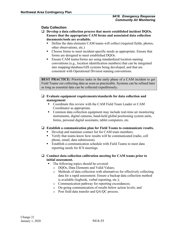## <span id="page-57-0"></span>**Data Collection**

- **Develop a data collection process that meets established incident DQOs. Ensure that the appropriate CAM forms and associated data collection documents/tools are available.** 
	- Define the data elements CAM teams will collect (required fields, photos, other observations, etc.)
	- Choose forms to meet incident-specific needs as appropriate. Ensure that forms are designed to meet established DQOs.
	- Ensure CAM teams/forms are using standardized location naming conventions (e.g., location identification numbers) that can be integrated into mapping/database/GIS systems being developed, and that are consistent with Operational Division naming conventions.

**BEST PRACTICE:** Prioritize tasks in the early phase of a CAM incident to get Field Teams out collecting data as soon as practicable. Systems can be refined later as long as essential data can be collected expeditiously**.**

#### **Evaluate equipment requirements/standards for data collection and management**

- Coordinate this review with the CAM Field Team Leader or CAM Coordinator as appropriate.
- Common data collection equipment may include real-time air monitoring instruments, digital cameras, hand-held global positioning system units, forms, personal digital assistants, tablet computers, etc.

## **Establish a communication plan for Field Teams to communicate results.**

- Develop and maintain contact list for CAM team members.
- Verify that teams know how results will be communicated (radio, cell phone, email, data submission).
- Establish a communication schedule with Field Teams to meet data reporting needs for ICS meetings.

## **Conduct data collection calibration meeting for CAM teams prior to initial assessment.**

- The following topics should be covered:
	- o DQOs, Data Elements and Valid Values;
	- o Methods of data collection with alternatives for effectively collecting data for a rapid assessment. Ensure a backup data collection method is available (logbook, verbal reporting, etc.);
	- o Communication pathway for reporting exceedances;
	- o On-going communication of results below action levels; and
	- o Post field data transfer and QA/QC process.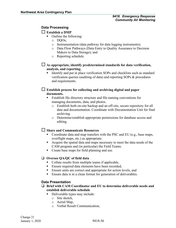## <span id="page-58-0"></span>**Data Processing**

## **Establish a DMP**

- Outline the following:
	- o DQOs;
	- o Instrumentation (data pathway for data logging instruments);
	- o Data Flow Pathways (Data Entry to Quality Assurance to Decision Makers to Data Storage); and
	- o Reporting schedule.

## **As appropriate, identify predetermined standards for data verification, analysis, and reporting.**

 Identify and put in place verification SOPs and checklists such as standard verification queries (auditing of data) and reporting SOPs & procedures and requirements.

## **Establish process for collecting and archiving digital and paper documents.**

- Establish file directory structure and file naming conventions for managing documents, data, and photos.
	- o Establish both on-site backup and an off-site, secure repository for all data and documentation. Coordinate with Documentation Unit for final archiving.
	- o Determine/establish appropriate permissions for database access and editing.

## **Share and Communicate Resources**

- Coordinate data and map transfers with the PSC and EU (e.g., base maps, overflight maps, etc.) as appropriate.
- Acquire the spatial data and maps necessary to meet the data needs of the CAM program and (in particular) the Field Teams.
- Create base maps for field planning and use.

## **Oversee QA/QC of field data**

- Collate results from multiple teams if applicable,
- **Ensure required data elements have been recorded,**
- Ensure units are correct and appropriate for action levels, and
- Ensure data is in a clean format for generation of deliverables.

## <span id="page-58-1"></span>**Data Presentation**

## **Brief with CAM Coordinator and EU to determine deliverable needs and establish deliverable schedule**

- Deliverable types may include:
	- o Site sketch,
	- o Aerial Map,
	- o Verbal Result Communication,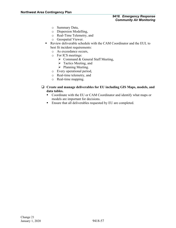- o Summary Data,
- o Dispersion Modelling,
- o Real-Time Telemetry, and
- o Geospatial Viewer.
- Review deliverable schedule with the CAM Coordinator and the EUL to best fit incident requirements:
	- o As exceedance occurs,
	- o For ICS meetings:
		- $\triangleright$  Command & General Staff Meeting,
		- $\triangleright$  Tactics Meeting, and
		- $\triangleright$  Planning Meeting.
	- o Every operational period,
	- o Real-time telemetry, and
	- o Real-time mapping.
- **Create and manage deliverables for EU including GIS Maps, models, and data tables.**
	- Coordinate with the EU or CAM Coordinator and identify what maps or models are important for decisions.
	- **Ensure that all deliverables requested by EU are completed.**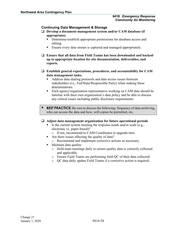## <span id="page-60-0"></span>**Continuing Data Management & Storage**

- **Develop a document management system and/or CAM database (if appropriate).**
	- Determine/establish appropriate permissions for database access and editing.
	- **Ensure every data stream is captured and managed appropriately.**
- **Ensure that all data from Field Teams has been downloaded and backedup to appropriate location for site documentation, deliverables, and reports.**
- **Establish general expectations, procedures, and accountability for CAM data management tasks.**
	- Address data sharing protocols and data access issues between stakeholders (i.e., Fed/State/Responsible Party) when making these determinations.
	- Each agency/organization representative working on CAM data should be familiar with their own organization's data policy and be able to discuss any critical issues including public disclosure requirements.
- **BEST PRACTICE:** Be sure to discuss the following: frequency of data archiving, who can access the data and how, will copies be permitted, etc.

## **Adjust data management organization for future operational periods**

- Is the current system meeting the response needs and/or scale (e.g., electronic vs. paper-based)?
	- o If not, recommend to CAM Coordinator to upgrade tiers.
- Are there issues affecting the quality of data?
	- o Recommend and implement corrective actions as necessary.
- Maintain data quality:
	- o Hold team meetings daily to ensure quality data is correctly collected and applicable.
	- o Ensure Field Teams are performing field QC of their data collected.
	- o QC data daily update Field Teams if a corrective action is required.